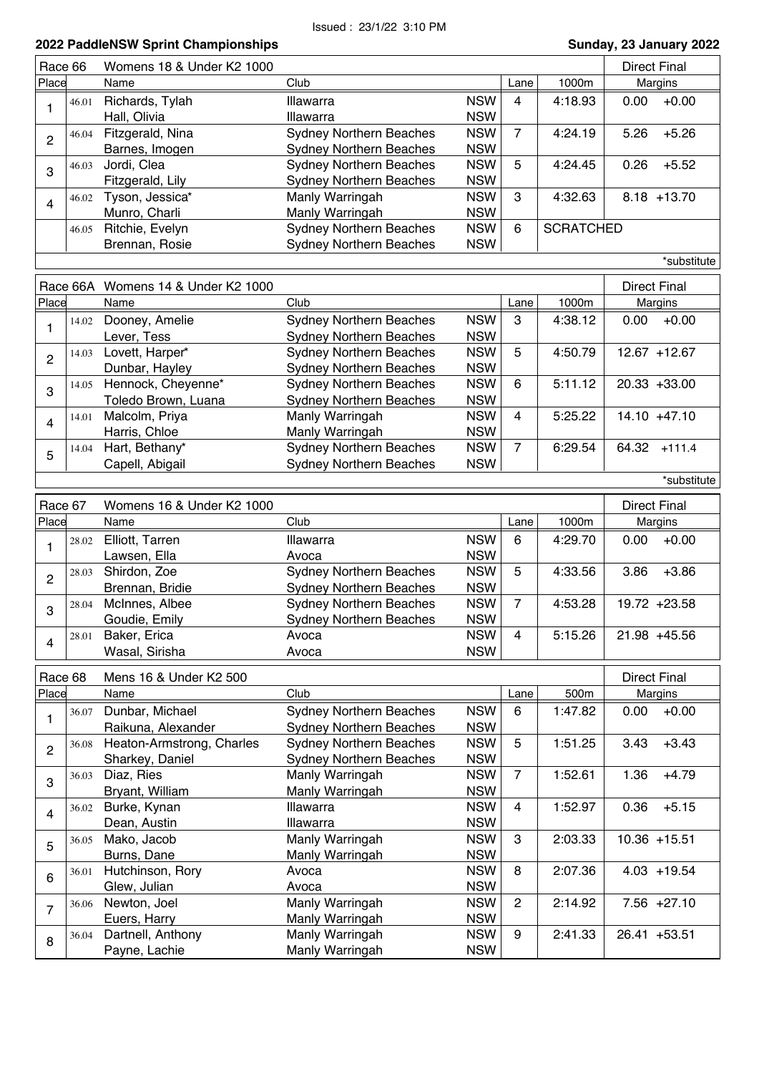|                |       | LULL I GUUICITOTI OPIIIII OHUMPIONUMPO |                                              |                |                  | anaay, 20 oanaary 202 |
|----------------|-------|----------------------------------------|----------------------------------------------|----------------|------------------|-----------------------|
| Race 66        |       | Womens 18 & Under K2 1000              |                                              |                |                  | <b>Direct Final</b>   |
| Place          |       | Name                                   | Club                                         | Lane           | 1000m            | Margins               |
|                | 46.01 | Richards, Tylah                        | <b>NSW</b><br>Illawarra                      | $\overline{4}$ | 4:18.93          | 0.00<br>$+0.00$       |
| 1              |       | Hall, Olivia                           | <b>NSW</b><br>Illawarra                      |                |                  |                       |
|                |       |                                        | <b>NSW</b>                                   | $\overline{7}$ |                  | $+5.26$               |
| $\overline{c}$ | 46.04 | Fitzgerald, Nina                       | <b>Sydney Northern Beaches</b>               |                | 4:24.19          | 5.26                  |
|                |       | Barnes, Imogen                         | <b>Sydney Northern Beaches</b><br><b>NSW</b> |                |                  |                       |
| 3              | 46.03 | Jordi, Clea                            | <b>Sydney Northern Beaches</b><br><b>NSW</b> | 5              | 4:24.45          | $+5.52$<br>0.26       |
|                |       | Fitzgerald, Lily                       | <b>Sydney Northern Beaches</b><br><b>NSW</b> |                |                  |                       |
| $\overline{4}$ | 46.02 | Tyson, Jessica*                        | <b>NSW</b><br>Manly Warringah                | 3              | 4:32.63          | $8.18 + 13.70$        |
|                |       | Munro, Charli                          | Manly Warringah<br><b>NSW</b>                |                |                  |                       |
|                | 46.05 | Ritchie, Evelyn                        | <b>Sydney Northern Beaches</b><br><b>NSW</b> | 6              | <b>SCRATCHED</b> |                       |
|                |       | Brennan, Rosie                         | <b>NSW</b><br><b>Sydney Northern Beaches</b> |                |                  |                       |
|                |       |                                        |                                              |                |                  | *substitute           |
|                |       |                                        |                                              |                |                  |                       |
|                |       | Race 66A Womens 14 & Under K2 1000     |                                              |                |                  | <b>Direct Final</b>   |
| Place          |       | Name                                   | Club                                         | Lane           | 1000m            | Margins               |
| 1              | 14.02 | Dooney, Amelie                         | <b>Sydney Northern Beaches</b><br><b>NSW</b> | 3              | 4:38.12          | $+0.00$<br>0.00       |
|                |       | Lever, Tess                            | <b>Sydney Northern Beaches</b><br><b>NSW</b> |                |                  |                       |
|                | 14.03 | Lovett, Harper*                        | <b>Sydney Northern Beaches</b><br><b>NSW</b> | 5              | 4:50.79          | 12.67 +12.67          |
| $\overline{c}$ |       | Dunbar, Hayley                         | <b>Sydney Northern Beaches</b><br><b>NSW</b> |                |                  |                       |
|                | 14.05 | Hennock, Cheyenne*                     | <b>NSW</b><br><b>Sydney Northern Beaches</b> | 6              | 5:11.12          | 20.33 +33.00          |
| 3              |       | Toledo Brown, Luana                    | <b>NSW</b><br><b>Sydney Northern Beaches</b> |                |                  |                       |
|                | 14.01 | Malcolm, Priya                         | Manly Warringah<br><b>NSW</b>                | $\overline{4}$ | 5:25.22          | $14.10 + 47.10$       |
| $\overline{4}$ |       | Harris, Chloe                          | Manly Warringah<br><b>NSW</b>                |                |                  |                       |
|                | 14.04 | Hart, Bethany*                         | <b>Sydney Northern Beaches</b><br><b>NSW</b> | $\overline{7}$ | 6:29.54          | 64.32<br>$+111.4$     |
| 5              |       |                                        |                                              |                |                  |                       |
|                |       | Capell, Abigail                        | <b>Sydney Northern Beaches</b><br><b>NSW</b> |                |                  |                       |
|                |       |                                        |                                              |                |                  | *substitute           |
| Race 67        |       | Womens 16 & Under K2 1000              |                                              |                |                  | <b>Direct Final</b>   |
| Place          |       | Name                                   | Club                                         | Lane           | 1000m            | Margins               |
|                | 28.02 | Elliott, Tarren                        | <b>NSW</b><br>Illawarra                      | 6              | 4:29.70          | 0.00<br>$+0.00$       |
| 1              |       | Lawsen, Ella                           | <b>NSW</b><br>Avoca                          |                |                  |                       |
|                | 28.03 | Shirdon, Zoe                           | <b>Sydney Northern Beaches</b><br><b>NSW</b> | 5              | 4:33.56          | $+3.86$<br>3.86       |
| $\overline{c}$ |       | Brennan, Bridie                        | <b>Sydney Northern Beaches</b><br><b>NSW</b> |                |                  |                       |
|                |       |                                        |                                              | $\overline{7}$ |                  |                       |
| 3              | 28.04 | McInnes, Albee                         | <b>Sydney Northern Beaches</b><br><b>NSW</b> |                | 4:53.28          | 19.72 +23.58          |
|                |       | Goudie, Emily                          | <b>NSW</b><br><b>Sydney Northern Beaches</b> |                |                  |                       |
| 4              | 28.01 | Baker, Erica                           | <b>NSW</b><br>Avoca                          | 4              | 5:15.26          | 21.98 +45.56          |
|                |       | Wasal, Sirisha                         | <b>NSW</b><br>Avoca                          |                |                  |                       |
| Race 68        |       | Mens 16 & Under K2 500                 |                                              |                |                  | <b>Direct Final</b>   |
| Place          |       | Name                                   | Club                                         | Lane           | 500m             | Margins               |
|                |       | Dunbar, Michael                        | Sydney Northern Beaches<br><b>NSW</b>        | 6              | 1:47.82          | $+0.00$<br>0.00       |
| 1              | 36.07 |                                        |                                              |                |                  |                       |
|                |       | Raikuna, Alexander                     | <b>Sydney Northern Beaches</b><br><b>NSW</b> |                |                  |                       |
| $\overline{2}$ | 36.08 | Heaton-Armstrong, Charles              | <b>Sydney Northern Beaches</b><br><b>NSW</b> | 5              | 1:51.25          | $+3.43$<br>3.43       |
|                |       | Sharkey, Daniel                        | <b>NSW</b><br><b>Sydney Northern Beaches</b> |                |                  |                       |
| 3              | 36.03 | Diaz, Ries                             | Manly Warringah<br><b>NSW</b>                | $\overline{7}$ | 1:52.61          | $+4.79$<br>1.36       |
|                |       | Bryant, William                        | Manly Warringah<br><b>NSW</b>                |                |                  |                       |
| $\overline{4}$ | 36.02 | Burke, Kynan                           | <b>NSW</b><br>Illawarra                      | 4              | 1:52.97          | $+5.15$<br>0.36       |
|                |       | Dean, Austin                           | Illawarra<br><b>NSW</b>                      |                |                  |                       |
| 5              | 36.05 | Mako, Jacob                            | Manly Warringah<br><b>NSW</b>                | 3              | 2:03.33          | $10.36 + 15.51$       |
|                |       | Burns, Dane                            | <b>NSW</b><br>Manly Warringah                |                |                  |                       |
|                | 36.01 | Hutchinson, Rory                       | <b>NSW</b><br>Avoca                          | 8              | 2:07.36          | $4.03 + 19.54$        |
| 6              |       | Glew, Julian                           | Avoca<br><b>NSW</b>                          |                |                  |                       |
|                | 36.06 | Newton, Joel                           | Manly Warringah<br><b>NSW</b>                | $\overline{2}$ | 2:14.92          | $7.56 +27.10$         |
| $\overline{7}$ |       | Euers, Harry                           | <b>NSW</b><br>Manly Warringah                |                |                  |                       |
|                | 36.04 | Dartnell, Anthony                      | Manly Warringah<br><b>NSW</b>                | 9              | 2:41.33          | 26.41 +53.51          |
| 8              |       | Payne, Lachie                          | Manly Warringah<br><b>NSW</b>                |                |                  |                       |
|                |       |                                        |                                              |                |                  |                       |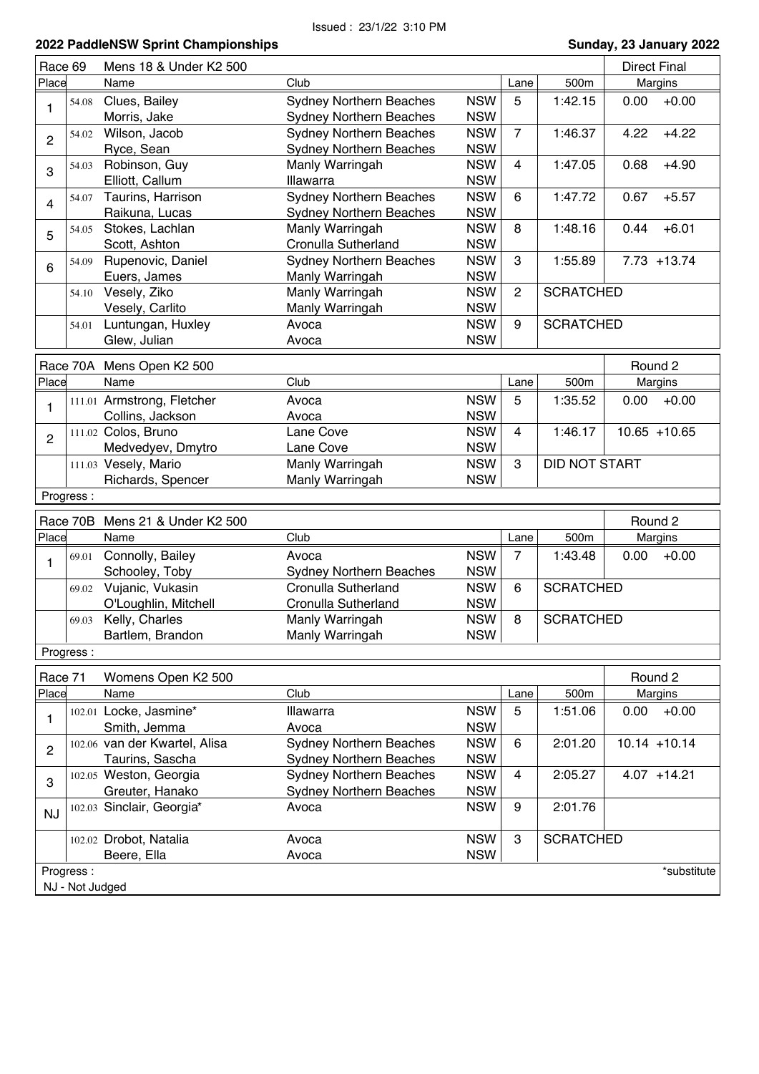| Race 69        |                              | Mens 18 & Under K2 500                 |                                                                  |                          |                |                      |      | <b>Direct Final</b> |
|----------------|------------------------------|----------------------------------------|------------------------------------------------------------------|--------------------------|----------------|----------------------|------|---------------------|
| Place          |                              | Name                                   | Club                                                             |                          | Lane           | 500m                 |      | Margins             |
| 1              | 54.08                        | Clues, Bailey<br>Morris, Jake          | <b>Sydney Northern Beaches</b><br><b>Sydney Northern Beaches</b> | <b>NSW</b><br><b>NSW</b> | 5              | 1:42.15              | 0.00 | $+0.00$             |
| $\overline{2}$ | 54.02                        | Wilson, Jacob                          | <b>Sydney Northern Beaches</b><br><b>Sydney Northern Beaches</b> | <b>NSW</b><br><b>NSW</b> | $\overline{7}$ | 1:46.37              | 4.22 | $+4.22$             |
| 3              | 54.03                        | Ryce, Sean<br>Robinson, Guy            | Manly Warringah                                                  | <b>NSW</b>               | $\overline{4}$ | 1:47.05              | 0.68 | $+4.90$             |
|                | 54.07                        | Elliott, Callum<br>Taurins, Harrison   | Illawarra<br><b>Sydney Northern Beaches</b>                      | <b>NSW</b><br><b>NSW</b> | 6              | 1:47.72              | 0.67 | $+5.57$             |
| $\overline{4}$ |                              | Raikuna, Lucas                         | <b>Sydney Northern Beaches</b>                                   | <b>NSW</b>               |                |                      |      |                     |
| 5              | 54.05                        | Stokes, Lachlan                        | Manly Warringah                                                  | <b>NSW</b>               | 8              | 1:48.16              | 0.44 | $+6.01$             |
|                |                              | Scott, Ashton                          | Cronulla Sutherland                                              | <b>NSW</b>               |                |                      |      |                     |
| 6              | 54.09                        | Rupenovic, Daniel<br>Euers, James      | <b>Sydney Northern Beaches</b><br>Manly Warringah                | <b>NSW</b><br><b>NSW</b> | 3              | 1:55.89              |      | $7.73 + 13.74$      |
|                | 54.10                        | Vesely, Ziko                           | Manly Warringah                                                  | <b>NSW</b>               | $\overline{2}$ | <b>SCRATCHED</b>     |      |                     |
|                |                              | Vesely, Carlito                        | Manly Warringah                                                  | <b>NSW</b>               |                |                      |      |                     |
|                | 54.01                        | Luntungan, Huxley                      | Avoca                                                            | <b>NSW</b>               | 9              | <b>SCRATCHED</b>     |      |                     |
|                |                              | Glew, Julian                           | Avoca                                                            | <b>NSW</b>               |                |                      |      |                     |
|                |                              | Race 70A Mens Open K2 500              |                                                                  |                          |                |                      |      | Round 2             |
| Place          |                              | Name                                   | Club                                                             |                          | Lane           | 500m                 |      | Margins             |
|                |                              | 111.01 Armstrong, Fletcher             | Avoca                                                            | <b>NSW</b>               | 5              | 1:35.52              | 0.00 | $+0.00$             |
| 1              |                              | Collins, Jackson                       | Avoca                                                            | <b>NSW</b>               |                |                      |      |                     |
| $\overline{2}$ |                              | 111.02 Colos, Bruno                    | Lane Cove                                                        | <b>NSW</b>               | $\overline{4}$ | 1:46.17              |      | $10.65 + 10.65$     |
|                |                              | Medvedyev, Dmytro                      | Lane Cove                                                        | <b>NSW</b>               |                |                      |      |                     |
|                |                              | 111.03 Vesely, Mario                   | Manly Warringah                                                  | <b>NSW</b>               | 3              | <b>DID NOT START</b> |      |                     |
|                |                              | Richards, Spencer                      | Manly Warringah                                                  | <b>NSW</b>               |                |                      |      |                     |
|                | Progress:                    |                                        |                                                                  |                          |                |                      |      |                     |
|                | Race 70B                     | Mens 21 & Under K2 500                 |                                                                  |                          |                |                      |      | Round 2             |
| Place          |                              | Name                                   | Club                                                             |                          | Lane           | 500m                 |      | Margins             |
|                |                              | Connolly, Bailey                       | Avoca                                                            | <b>NSW</b>               | $\overline{7}$ | 1:43.48              | 0.00 | $+0.00$             |
|                | 69.01                        |                                        |                                                                  |                          |                |                      |      |                     |
| 1              |                              | Schooley, Toby                         | <b>Sydney Northern Beaches</b>                                   | <b>NSW</b>               |                |                      |      |                     |
|                | 69.02                        | Vujanic, Vukasin                       | Cronulla Sutherland                                              | <b>NSW</b>               | 6              | <b>SCRATCHED</b>     |      |                     |
|                |                              | O'Loughlin, Mitchell                   | Cronulla Sutherland                                              | <b>NSW</b>               |                |                      |      |                     |
|                | 69.03                        | Kelly, Charles                         | Manly Warringah                                                  | <b>NSW</b>               | 8              | <b>SCRATCHED</b>     |      |                     |
|                |                              | Bartlem, Brandon                       | Manly Warringah                                                  | <b>NSW</b>               |                |                      |      |                     |
|                | Progress:                    |                                        |                                                                  |                          |                |                      |      |                     |
| Race 71        |                              | Womens Open K2 500                     |                                                                  |                          |                |                      |      | Round 2             |
| Place          |                              | Name                                   | Club                                                             |                          | Lane           | 500m                 |      | Margins             |
| 1              |                              | 102.01 Locke, Jasmine*<br>Smith, Jemma | Illawarra<br>Avoca                                               | <b>NSW</b><br><b>NSW</b> | 5              | 1:51.06              | 0.00 | $+0.00$             |
|                |                              | 102.06 van der Kwartel, Alisa          | <b>Sydney Northern Beaches</b>                                   | <b>NSW</b>               | 6              | 2:01.20              |      | $10.14 + 10.14$     |
| $\overline{c}$ |                              | Taurins, Sascha                        | <b>Sydney Northern Beaches</b>                                   | <b>NSW</b>               |                |                      |      |                     |
| 3              |                              | 102.05 Weston, Georgia                 | <b>Sydney Northern Beaches</b>                                   | <b>NSW</b>               | 4              | 2:05.27              |      | $4.07 + 14.21$      |
|                |                              | Greuter, Hanako                        | <b>Sydney Northern Beaches</b>                                   | <b>NSW</b>               |                |                      |      |                     |
| <b>NJ</b>      |                              | 102.03 Sinclair, Georgia*              | Avoca                                                            | <b>NSW</b>               | 9              | 2:01.76              |      |                     |
|                |                              | 102.02 Drobot, Natalia                 | Avoca                                                            | <b>NSW</b>               | 3              | <b>SCRATCHED</b>     |      |                     |
|                |                              | Beere, Ella                            | Avoca                                                            | <b>NSW</b>               |                |                      |      |                     |
|                | Progress:<br>NJ - Not Judged |                                        |                                                                  |                          |                |                      |      | *substitute         |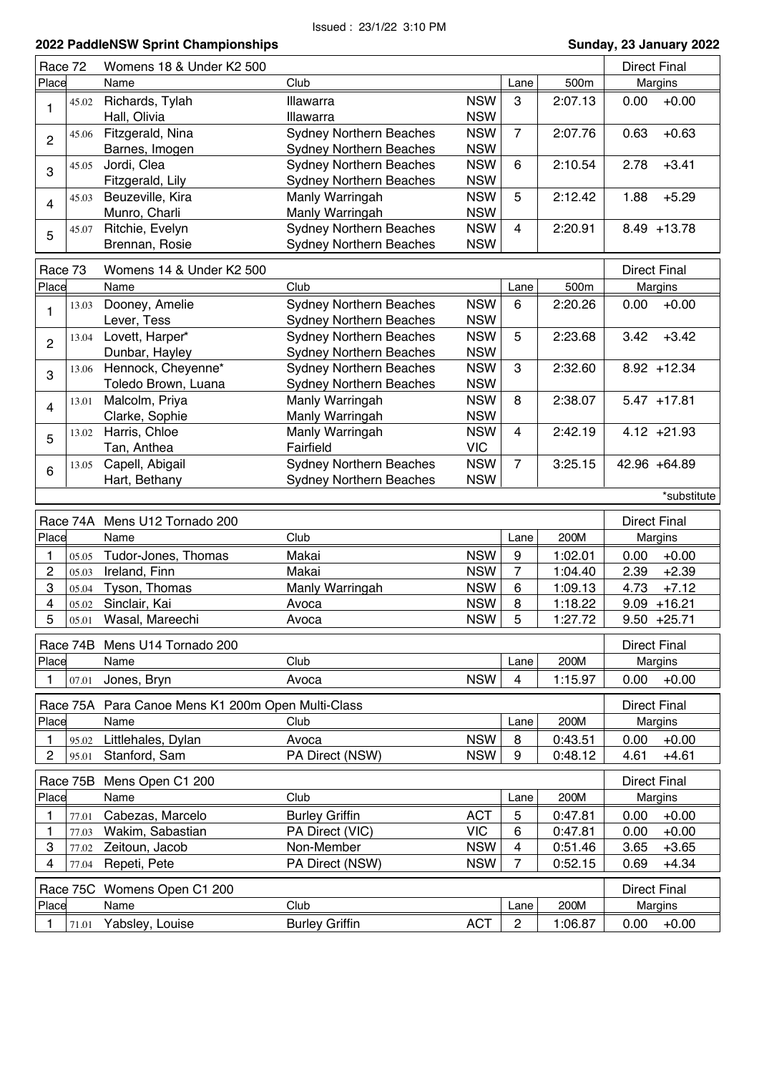| Race 72        |          | Womens 18 & Under K2 500                 |                                                                  |                          |                      |                 | <b>Direct Final</b> |                    |
|----------------|----------|------------------------------------------|------------------------------------------------------------------|--------------------------|----------------------|-----------------|---------------------|--------------------|
| Place          |          | Name                                     | Club                                                             |                          | Lane                 | 500m            |                     | Margins            |
| 1              | 45.02    | Richards, Tylah<br>Hall, Olivia          | Illawarra<br>Illawarra                                           | <b>NSW</b><br><b>NSW</b> | 3                    | 2:07.13         | 0.00                | $+0.00$            |
| $\overline{2}$ | 45.06    | Fitzgerald, Nina<br>Barnes, Imogen       | <b>Sydney Northern Beaches</b><br><b>Sydney Northern Beaches</b> | <b>NSW</b><br><b>NSW</b> | $\overline{7}$       | 2:07.76         | 0.63                | $+0.63$            |
| 3              | 45.05    | Jordi, Clea                              | <b>Sydney Northern Beaches</b>                                   | <b>NSW</b>               | 6                    | 2:10.54         | 2.78                | $+3.41$            |
| 4              | 45.03    | Fitzgerald, Lily<br>Beuzeville, Kira     | <b>Sydney Northern Beaches</b><br>Manly Warringah                | <b>NSW</b><br><b>NSW</b> | 5                    | 2:12.42         | 1.88                | $+5.29$            |
| 5              | 45.07    | Munro, Charli<br>Ritchie, Evelyn         | Manly Warringah<br><b>Sydney Northern Beaches</b>                | <b>NSW</b><br><b>NSW</b> | 4                    | 2:20.91         |                     | $8.49 + 13.78$     |
|                |          | Brennan, Rosie                           | <b>Sydney Northern Beaches</b>                                   | <b>NSW</b>               |                      |                 |                     |                    |
| Race 73        |          | Womens 14 & Under K2 500                 |                                                                  |                          |                      |                 | <b>Direct Final</b> |                    |
| Place          |          | Name                                     | Club                                                             |                          | Lane                 | 500m            |                     | Margins            |
|                | 13.03    | Dooney, Amelie                           | <b>Sydney Northern Beaches</b>                                   | <b>NSW</b>               | 6                    | 2:20.26         | 0.00                | $+0.00$            |
| 1              |          | Lever, Tess                              | <b>Sydney Northern Beaches</b>                                   | <b>NSW</b>               |                      |                 |                     |                    |
| $\overline{c}$ | 13.04    | Lovett, Harper*                          | <b>Sydney Northern Beaches</b>                                   | <b>NSW</b>               | 5                    | 2:23.68         | 3.42                | $+3.42$            |
|                |          | Dunbar, Hayley                           | <b>Sydney Northern Beaches</b>                                   | <b>NSW</b>               |                      |                 |                     |                    |
| 3              | 13.06    | Hennock, Cheyenne*                       | <b>Sydney Northern Beaches</b>                                   | <b>NSW</b>               | 3                    | 2:32.60         |                     | $8.92 + 12.34$     |
|                |          | Toledo Brown, Luana                      | <b>Sydney Northern Beaches</b>                                   | <b>NSW</b>               |                      |                 |                     |                    |
| 4              | 13.01    | Malcolm, Priya                           | Manly Warringah                                                  | <b>NSW</b>               | 8                    | 2:38.07         |                     | $5.47 + 17.81$     |
|                |          | Clarke, Sophie                           | Manly Warringah                                                  | <b>NSW</b>               |                      |                 |                     |                    |
| 5              | 13.02    | Harris, Chloe                            | Manly Warringah                                                  | <b>NSW</b>               | 4                    | 2:42.19         |                     | $4.12 + 21.93$     |
|                |          | Tan, Anthea                              | Fairfield                                                        | <b>VIC</b>               |                      |                 |                     |                    |
| 6              | 13.05    | Capell, Abigail                          | <b>Sydney Northern Beaches</b>                                   | <b>NSW</b>               | $\overline{7}$       | 3:25.15         |                     | 42.96 +64.89       |
|                |          | Hart, Bethany                            | <b>Sydney Northern Beaches</b>                                   | <b>NSW</b>               |                      |                 |                     |                    |
|                |          |                                          |                                                                  |                          |                      |                 |                     | *substitute        |
|                |          |                                          |                                                                  |                          |                      |                 |                     |                    |
|                | Race 74A | Mens U12 Tornado 200                     |                                                                  |                          |                      |                 | <b>Direct Final</b> |                    |
| Place          |          | Name                                     | Club                                                             |                          | Lane                 | 200M            |                     | Margins            |
| 1              | 05.05    |                                          | Makai                                                            | <b>NSW</b>               | 9                    | 1:02.01         | 0.00                | $+0.00$            |
| $\overline{c}$ | 05.03    | Tudor-Jones, Thomas<br>Ireland, Finn     | Makai                                                            | <b>NSW</b>               | $\overline{7}$       | 1:04.40         | 2.39                | $+2.39$            |
| 3              | 05.04    | Tyson, Thomas                            | Manly Warringah                                                  | <b>NSW</b>               | 6                    | 1:09.13         | 4.73                | $+7.12$            |
| 4              | 05.02    | Sinclair, Kai                            | Avoca                                                            | <b>NSW</b>               | 8                    | 1:18.22         | 9.09                | $+16.21$           |
| 5              | 05.01    | Wasal, Mareechi                          | Avoca                                                            | <b>NSW</b>               | 5                    | 1:27.72         |                     | $9.50 + 25.71$     |
|                |          |                                          |                                                                  |                          |                      |                 |                     |                    |
|                |          | Race 74B Mens U14 Tornado 200            |                                                                  |                          |                      |                 | <b>Direct Final</b> |                    |
| Place          |          | Name                                     | Club                                                             |                          | Lane                 | 200M            |                     | Margins            |
| 1              | 07.01    | Jones, Bryn                              | Avoca                                                            | <b>NSW</b>               | 4                    | 1:15.97         | 0.00                | $+0.00$            |
|                | Race 75A | Para Canoe Mens K1 200m Open Multi-Class |                                                                  |                          |                      |                 | <b>Direct Final</b> |                    |
| Place          |          | Name                                     | Club                                                             |                          | Lane                 | 200M            |                     | Margins            |
| 1              | 95.02    | Littlehales, Dylan                       | Avoca                                                            | <b>NSW</b>               | 8                    | 0:43.51         | 0.00                | $+0.00$            |
| 2              | 95.01    | Stanford, Sam                            | PA Direct (NSW)                                                  | <b>NSW</b>               | 9                    | 0:48.12         | 4.61                | $+4.61$            |
|                |          |                                          |                                                                  |                          |                      |                 |                     |                    |
|                | Race 75B | Mens Open C1 200                         |                                                                  |                          |                      |                 | <b>Direct Final</b> |                    |
| Place          |          | Name                                     | Club                                                             |                          | Lane                 | 200M            |                     | Margins            |
| 1              | 77.01    | Cabezas, Marcelo                         | <b>Burley Griffin</b>                                            | <b>ACT</b>               | 5                    | 0:47.81         | 0.00                | $+0.00$            |
| 1              | 77.03    | Wakim, Sabastian                         | PA Direct (VIC)                                                  | <b>VIC</b>               | 6                    | 0:47.81         | 0.00                | $+0.00$            |
| 3              | 77.02    | Zeitoun, Jacob                           | Non-Member                                                       | <b>NSW</b>               | 4                    | 0:51.46         | 3.65                | $+3.65$            |
| 4              | 77.04    | Repeti, Pete                             | PA Direct (NSW)                                                  | <b>NSW</b>               | $\overline{7}$       | 0:52.15         | 0.69                | $+4.34$            |
|                |          | Race 75C Womens Open C1 200              |                                                                  |                          |                      |                 | <b>Direct Final</b> |                    |
| Place          |          | Name<br>Yabsley, Louise                  | Club<br><b>Burley Griffin</b>                                    | <b>ACT</b>               | Lane<br>$\mathbf{2}$ | 200M<br>1:06.87 | 0.00                | Margins<br>$+0.00$ |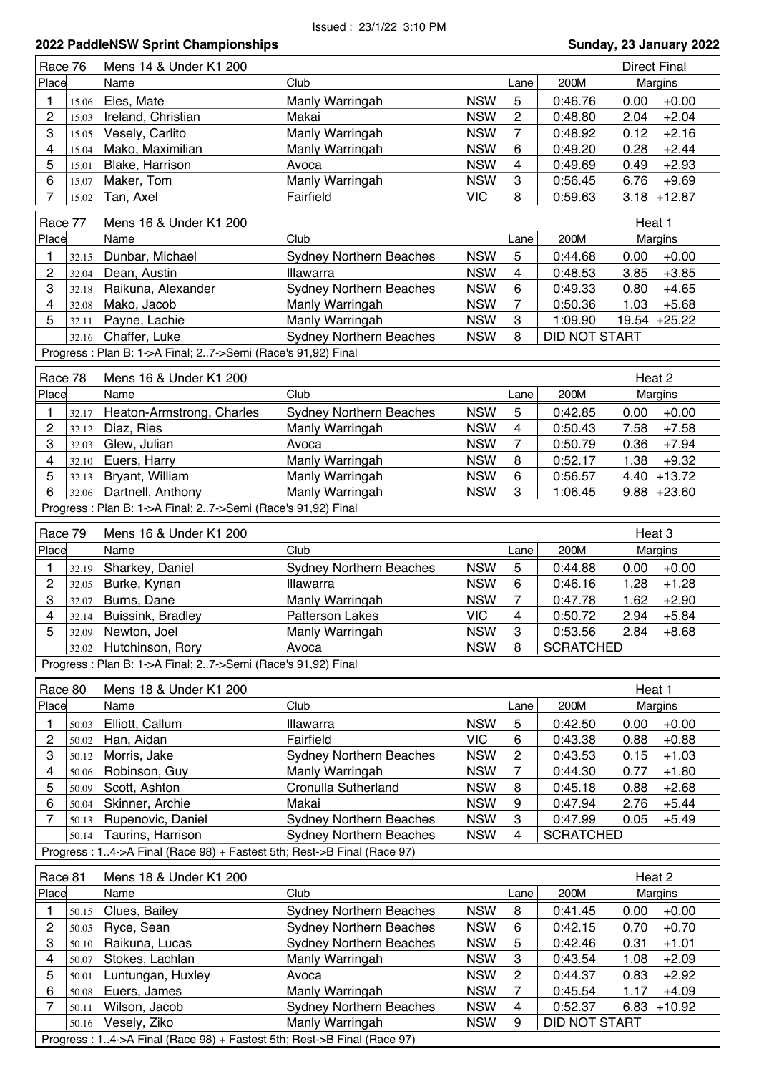| 2022 PaddleNSW Sprint Championships | Sunday, 23 January 2022 |
|-------------------------------------|-------------------------|
| 1.7.174.72.144.0.11.1.14.0.02.1     | <b>Industry Project</b> |

л

| Race 76 |         | Mens 14 & Under K1 200                                                 |                                |            |                 |                      | <b>Direct Final</b> |
|---------|---------|------------------------------------------------------------------------|--------------------------------|------------|-----------------|----------------------|---------------------|
| Place   |         | Name                                                                   | Club                           |            | Lane            | 200M                 | Margins             |
| 1       | 15.06   | Eles, Mate                                                             | Manly Warringah                | <b>NSW</b> | 5               | 0:46.76              | 0.00<br>$+0.00$     |
| 2       | 15.03   | Ireland, Christian                                                     | Makai                          | <b>NSW</b> | $\overline{c}$  | 0:48.80              | $+2.04$<br>2.04     |
| 3       | 15.05   | Vesely, Carlito                                                        | Manly Warringah                | <b>NSW</b> | 7               | 0:48.92              | $+2.16$<br>0.12     |
| 4       | 15.04   | Mako, Maximilian                                                       | Manly Warringah                | <b>NSW</b> | 6               | 0:49.20              | $+2.44$<br>0.28     |
| 5       | 15.01   | Blake, Harrison                                                        | Avoca                          | <b>NSW</b> | 4               | 0:49.69              | $+2.93$<br>0.49     |
| 6       |         |                                                                        |                                | <b>NSW</b> | 3               | 0:56.45              | 6.76<br>$+9.69$     |
| 7       | 15.07   | Maker, Tom                                                             | Manly Warringah                |            |                 |                      |                     |
|         | 15.02   | Tan, Axel                                                              | Fairfield                      | <b>VIC</b> | 8               | 0:59.63              | $3.18 + 12.87$      |
| Race 77 |         | Mens 16 & Under K1 200                                                 |                                |            |                 |                      | Heat 1              |
| Place   |         | Name                                                                   | Club                           |            | Lane            | 200M                 | Margins             |
| 1       | 32.15   | Dunbar, Michael                                                        | <b>Sydney Northern Beaches</b> | <b>NSW</b> | 5               | 0:44.68              | $+0.00$<br>0.00     |
| 2       | 32.04   | Dean, Austin                                                           | Illawarra                      | <b>NSW</b> | 4               | 0:48.53              | 3.85<br>$+3.85$     |
| 3       |         | Raikuna, Alexander                                                     | <b>Sydney Northern Beaches</b> | <b>NSW</b> | 6               | 0:49.33              | 0.80<br>$+4.65$     |
|         | 32.18   | Mako, Jacob                                                            |                                | <b>NSW</b> | $\overline{7}$  |                      | 1.03                |
| 4       | 32.08   |                                                                        | Manly Warringah                |            |                 | 0:50.36              | $+5.68$             |
| 5       | 32.11   | Payne, Lachie                                                          | Manly Warringah                | <b>NSW</b> | 3               | 1:09.90              | 19.54 +25.22        |
|         | 32.16   | Chaffer, Luke                                                          | <b>Sydney Northern Beaches</b> | <b>NSW</b> | 8               | <b>DID NOT START</b> |                     |
|         |         | Progress : Plan B: 1->A Final; 27->Semi (Race's 91,92) Final           |                                |            |                 |                      |                     |
|         | Race 78 | Mens 16 & Under K1 200                                                 |                                |            |                 |                      | Heat 2              |
| Place   |         | Name                                                                   | Club                           |            | Lane            | 200M                 | Margins             |
|         |         |                                                                        |                                |            |                 |                      |                     |
| 1       | 32.17   | Heaton-Armstrong, Charles                                              | <b>Sydney Northern Beaches</b> | <b>NSW</b> | 5               | 0:42.85              | $+0.00$<br>0.00     |
| 2       | 32.12   | Diaz, Ries                                                             | Manly Warringah                | <b>NSW</b> | $\overline{4}$  | 0:50.43              | $+7.58$<br>7.58     |
| 3       | 32.03   | Glew, Julian                                                           | Avoca                          | <b>NSW</b> | $\overline{7}$  | 0:50.79              | 0.36<br>$+7.94$     |
| 4       | 32.10   | Euers, Harry                                                           | Manly Warringah                | <b>NSW</b> | 8               | 0:52.17              | 1.38<br>$+9.32$     |
| 5       | 32.13   | Bryant, William                                                        | Manly Warringah                | <b>NSW</b> | 6               | 0:56.57              | $4.40 + 13.72$      |
| 6       | 32.06   | Dartnell, Anthony                                                      | Manly Warringah                | <b>NSW</b> | 3               | 1:06.45              | $9.88 + 23.60$      |
|         |         | Progress : Plan B: 1->A Final; 27->Semi (Race's 91,92) Final           |                                |            |                 |                      |                     |
| Race 79 |         | Mens 16 & Under K1 200                                                 |                                |            |                 |                      | Heat 3              |
|         |         |                                                                        |                                |            |                 |                      |                     |
| Place   |         | Name                                                                   | Club                           |            | Lane            | 200M                 | Margins             |
|         | 32.19   | Sharkey, Daniel                                                        | Sydney Northern Beaches        | <b>NSW</b> | 5               | 0:44.88              | $+0.00$<br>0.00     |
| 2       | 32.05   | Burke, Kynan                                                           | Illawarra                      | <b>NSW</b> | $6\phantom{1}6$ | 0:46.16              | $+1.28$<br>1.28     |
| 3       | 32.07   | Burns, Dane                                                            | Manly Warringah                | <b>NSW</b> | 7               | 0:47.78              | 1.62<br>$+2.90$     |
| 4       | 32.14   | Buissink, Bradley                                                      | <b>Patterson Lakes</b>         | <b>VIC</b> | 4               | 0:50.72              | 2.94<br>$+5.84$     |
| 5       | 32.09   | Newton, Joel                                                           | <b>Manly Warringah</b>         | <b>NSW</b> | 3               | 0:53.56              | 2.84<br>$+8.68$     |
|         |         | 32.02 Hutchinson, Rory                                                 | Avoca                          | <b>NSW</b> | 8               | <b>SCRATCHED</b>     |                     |
|         |         | Progress : Plan B: 1->A Final; 27->Semi (Race's 91,92) Final           |                                |            |                 |                      |                     |
|         |         |                                                                        |                                |            |                 |                      |                     |
| Race 80 |         | Mens 18 & Under K1 200                                                 |                                |            |                 |                      | Heat 1              |
| Place   |         | Name                                                                   | Club                           |            | Lane            | 200M                 | Margins             |
| 1       | 50.03   | Elliott, Callum                                                        | Illawarra                      | <b>NSW</b> | 5               | 0:42.50              | $+0.00$<br>0.00     |
| 2       | 50.02   | Han, Aidan                                                             | Fairfield                      | <b>VIC</b> | 6               | 0:43.38              | 0.88<br>$+0.88$     |
| 3       | 50.12   | Morris, Jake                                                           | <b>Sydney Northern Beaches</b> | <b>NSW</b> | $\overline{c}$  | 0:43.53              | $+1.03$<br>0.15     |
| 4       | 50.06   | Robinson, Guy                                                          | Manly Warringah                | <b>NSW</b> | $\overline{7}$  | 0:44.30              | 0.77<br>$+1.80$     |
| 5       | 50.09   | Scott, Ashton                                                          | Cronulla Sutherland            | <b>NSW</b> | 8               | 0:45.18              | 0.88<br>$+2.68$     |
| 6       | 50.04   | Skinner, Archie                                                        | Makai                          | <b>NSW</b> | 9               | 0:47.94              | 2.76<br>$+5.44$     |
| 7       | 50.13   | Rupenovic, Daniel                                                      | <b>Sydney Northern Beaches</b> | <b>NSW</b> | 3               | 0:47.99              | $+5.49$<br>0.05     |
|         |         | 50.14 Taurins, Harrison                                                | <b>Sydney Northern Beaches</b> | <b>NSW</b> | 4               | <b>SCRATCHED</b>     |                     |
|         |         | Progress: 14->A Final (Race 98) + Fastest 5th; Rest->B Final (Race 97) |                                |            |                 |                      |                     |
|         |         |                                                                        |                                |            |                 |                      |                     |
| Race 81 |         | Mens 18 & Under K1 200                                                 |                                |            |                 |                      | Heat 2              |
| Place   |         | Name                                                                   | Club                           |            | Lane            | 200M                 | Margins             |
| 1       | 50.15   | Clues, Bailey                                                          | <b>Sydney Northern Beaches</b> | <b>NSW</b> | 8               | 0:41.45              | $+0.00$<br>0.00     |
| 2       | 50.05   | Ryce, Sean                                                             | <b>Sydney Northern Beaches</b> | <b>NSW</b> | 6               | 0:42.15              | 0.70<br>$+0.70$     |
| 3       | 50.10   | Raikuna, Lucas                                                         | <b>Sydney Northern Beaches</b> | <b>NSW</b> | 5               | 0:42.46              | $+1.01$<br>0.31     |
| 4       | 50.07   | Stokes, Lachlan                                                        | Manly Warringah                | <b>NSW</b> | 3               | 0:43.54              | 1.08<br>$+2.09$     |
| 5       | 50.01   | Luntungan, Huxley                                                      | Avoca                          | <b>NSW</b> | $\overline{c}$  | 0:44.37              | $+2.92$<br>0.83     |
| 6       | 50.08   | Euers, James                                                           | Manly Warringah                | <b>NSW</b> | 7               | 0:45.54              | 1.17<br>$+4.09$     |
| 7       | 50.11   | Wilson, Jacob                                                          | <b>Sydney Northern Beaches</b> | <b>NSW</b> | $\overline{4}$  | 0:52.37              | 6.83<br>$+10.92$    |
|         | 50.16   | Vesely, Ziko                                                           | Manly Warringah                | <b>NSW</b> | 9               | DID NOT START        |                     |
|         |         | Progress: 14->A Final (Race 98) + Fastest 5th; Rest->B Final (Race 97) |                                |            |                 |                      |                     |
|         |         |                                                                        |                                |            |                 |                      |                     |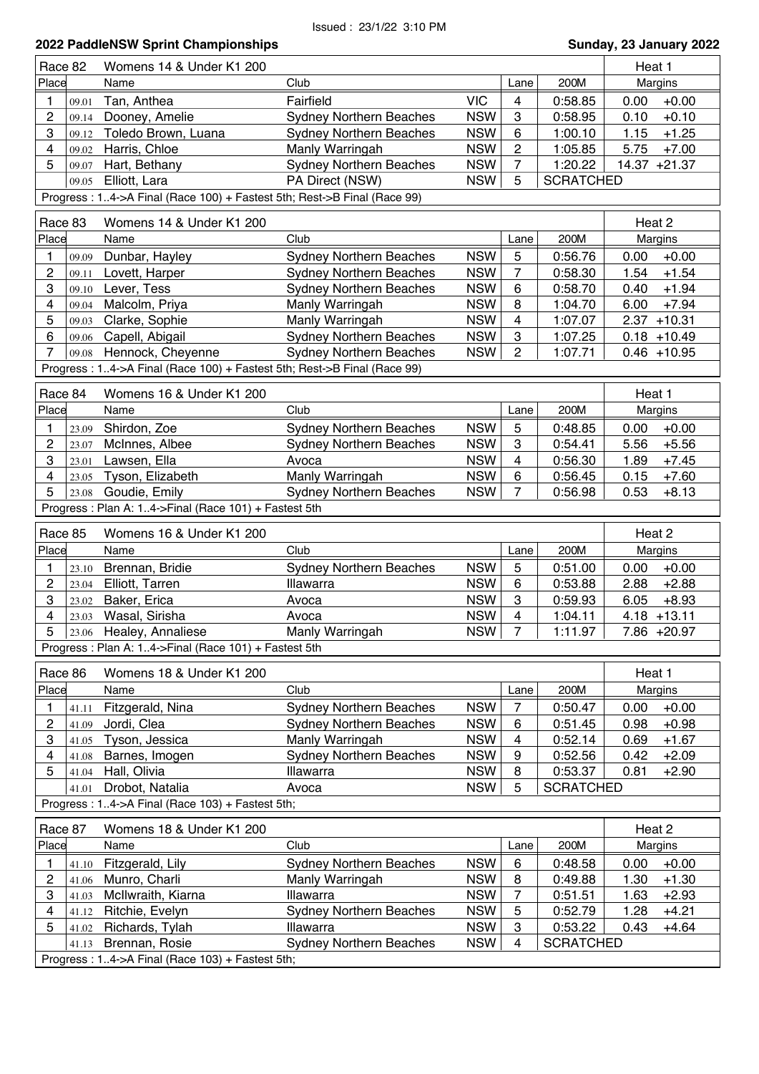|                         | 2022 PaddleNSW Sprint Championships<br>Sunday, 23 January 2022 |                                                                         |                                |            |                         |                  |                  |  |  |  |
|-------------------------|----------------------------------------------------------------|-------------------------------------------------------------------------|--------------------------------|------------|-------------------------|------------------|------------------|--|--|--|
| Race 82                 |                                                                | Womens 14 & Under K1 200                                                |                                |            |                         |                  | Heat 1           |  |  |  |
| Place                   |                                                                | Name                                                                    | Club                           |            | Lane                    | 200M             | Margins          |  |  |  |
| 1                       | 09.01                                                          | Tan, Anthea                                                             | Fairfield                      | <b>VIC</b> | $\overline{\mathbf{4}}$ | 0:58.85          | 0.00<br>$+0.00$  |  |  |  |
| $\overline{c}$          | 09.14                                                          | Dooney, Amelie                                                          | <b>Sydney Northern Beaches</b> | <b>NSW</b> | 3                       | 0:58.95          | $+0.10$<br>0.10  |  |  |  |
| 3                       | 09.12                                                          | Toledo Brown, Luana                                                     | <b>Sydney Northern Beaches</b> | <b>NSW</b> | 6                       | 1:00.10          | 1.15<br>$+1.25$  |  |  |  |
| 4                       | 09.02                                                          | Harris, Chloe                                                           | Manly Warringah                | <b>NSW</b> | 2                       | 1:05.85          | 5.75<br>$+7.00$  |  |  |  |
| 5                       | 09.07                                                          | Hart, Bethany                                                           | <b>Sydney Northern Beaches</b> | <b>NSW</b> | $\overline{7}$          | 1:20.22          | 14.37 +21.37     |  |  |  |
|                         | 09.05                                                          | Elliott, Lara                                                           | PA Direct (NSW)                | <b>NSW</b> | 5                       | <b>SCRATCHED</b> |                  |  |  |  |
|                         |                                                                | Progress: 14->A Final (Race 100) + Fastest 5th; Rest->B Final (Race 99) |                                |            |                         |                  |                  |  |  |  |
|                         |                                                                |                                                                         |                                |            |                         |                  |                  |  |  |  |
| Race 83<br>Place        |                                                                | Womens 14 & Under K1 200                                                | Club                           |            |                         |                  | Heat 2           |  |  |  |
|                         |                                                                | Name                                                                    |                                |            | Lane                    | 200M             | Margins          |  |  |  |
| 1                       | 09.09                                                          | Dunbar, Hayley                                                          | <b>Sydney Northern Beaches</b> | <b>NSW</b> | 5                       | 0:56.76          | 0.00<br>$+0.00$  |  |  |  |
| 2                       | 09.11                                                          | Lovett, Harper                                                          | <b>Sydney Northern Beaches</b> | <b>NSW</b> | $\overline{7}$          | 0:58.30          | $+1.54$<br>1.54  |  |  |  |
| 3                       | 09.10                                                          | Lever, Tess                                                             | <b>Sydney Northern Beaches</b> | <b>NSW</b> | 6                       | 0:58.70          | $+1.94$<br>0.40  |  |  |  |
| 4                       | 09.04                                                          | Malcolm, Priya                                                          | Manly Warringah                | <b>NSW</b> | 8                       | 1:04.70          | 6.00<br>$+7.94$  |  |  |  |
| 5                       | 09.03                                                          | Clarke, Sophie                                                          | Manly Warringah                | <b>NSW</b> | $\overline{\mathbf{4}}$ | 1:07.07          | 2.37<br>$+10.31$ |  |  |  |
| 6                       | 09.06                                                          | Capell, Abigail                                                         | <b>Sydney Northern Beaches</b> | <b>NSW</b> | 3                       | 1:07.25          | $0.18 + 10.49$   |  |  |  |
| $\overline{7}$          | 09.08                                                          | Hennock, Cheyenne                                                       | Sydney Northern Beaches        | <b>NSW</b> | 2                       | 1:07.71          | $0.46 + 10.95$   |  |  |  |
|                         |                                                                | Progress: 14->A Final (Race 100) + Fastest 5th; Rest->B Final (Race 99) |                                |            |                         |                  |                  |  |  |  |
| Race 84                 |                                                                | Womens 16 & Under K1 200                                                |                                |            |                         |                  | Heat 1           |  |  |  |
| Place                   |                                                                | Name                                                                    | Club                           |            | Lane                    | 200M             | Margins          |  |  |  |
| 1                       | 23.09                                                          | Shirdon, Zoe                                                            | <b>Sydney Northern Beaches</b> | <b>NSW</b> | 5                       | 0:48.85          | 0.00<br>$+0.00$  |  |  |  |
|                         |                                                                | McInnes, Albee                                                          |                                | <b>NSW</b> | 3                       |                  | $+5.56$          |  |  |  |
| 2<br>3                  | 23.07                                                          |                                                                         | <b>Sydney Northern Beaches</b> |            | $\overline{\mathbf{4}}$ | 0:54.41          | 5.56             |  |  |  |
|                         | 23.01                                                          | Lawsen, Ella                                                            | Avoca                          | <b>NSW</b> |                         | 0:56.30          | 1.89<br>$+7.45$  |  |  |  |
| $\overline{\mathbf{4}}$ | 23.05                                                          | Tyson, Elizabeth                                                        | Manly Warringah                | <b>NSW</b> | $\,6$                   | 0:56.45          | $+7.60$<br>0.15  |  |  |  |
| 5                       | 23.08                                                          | Goudie, Emily<br>Progress: Plan A: 14->Final (Race 101) + Fastest 5th   | <b>Sydney Northern Beaches</b> | <b>NSW</b> | $\overline{7}$          | 0:56.98          | $+8.13$<br>0.53  |  |  |  |
|                         |                                                                |                                                                         |                                |            |                         |                  |                  |  |  |  |
| Race 85                 |                                                                | Womens 16 & Under K1 200                                                |                                |            |                         |                  | Heat 2           |  |  |  |
| Place                   |                                                                | Name                                                                    | Club                           |            | Lane                    | 200M             | Margins          |  |  |  |
| 1                       | 23.10                                                          | Brennan, Bridie                                                         | <b>Sydney Northern Beaches</b> | <b>NSW</b> | 5                       | 0:51.00          | 0.00<br>$+0.00$  |  |  |  |
| $\overline{c}$          | 23.04                                                          | Elliott, Tarren                                                         | Illawarra                      | <b>NSW</b> | $6\phantom{1}6$         | 0:53.88          | $+2.88$<br>2.88  |  |  |  |
| 3                       | 23.02                                                          | Baker, Erica                                                            | Avoca                          | <b>NSW</b> | 3                       | 0:59.93          | 6.05<br>$+8.93$  |  |  |  |
| 4                       | 23.03                                                          | Wasal, Sirisha                                                          | Avoca                          | <b>NSW</b> | 4                       | 1:04.11          | $4.18 + 13.11$   |  |  |  |
| 5                       | 23.06                                                          | Healey, Annaliese                                                       | Manly Warringah                | <b>NSW</b> | 7                       | 1:11.97          | 7.86 +20.97      |  |  |  |
|                         |                                                                | Progress: Plan A: 14->Final (Race 101) + Fastest 5th                    |                                |            |                         |                  |                  |  |  |  |
|                         |                                                                |                                                                         |                                |            |                         |                  |                  |  |  |  |
| Race 86                 |                                                                | Womens 18 & Under K1 200                                                |                                |            |                         |                  | Heat 1           |  |  |  |
| Place                   |                                                                | Name                                                                    | Club                           |            | Lane                    | 200M             | Margins          |  |  |  |
| 1                       | 41.11                                                          | Fitzgerald, Nina                                                        | <b>Sydney Northern Beaches</b> | <b>NSW</b> | $\overline{7}$          | 0:50.47          | $+0.00$<br>0.00  |  |  |  |
| $\overline{c}$          | 41.09                                                          | Jordi, Clea                                                             | <b>Sydney Northern Beaches</b> | <b>NSW</b> | 6                       | 0:51.45          | $+0.98$<br>0.98  |  |  |  |
| 3                       | 41.05                                                          | Tyson, Jessica                                                          | Manly Warringah                | <b>NSW</b> | 4                       | 0:52.14          | 0.69<br>$+1.67$  |  |  |  |
| $\overline{4}$          | 41.08                                                          | Barnes, Imogen                                                          | <b>Sydney Northern Beaches</b> | <b>NSW</b> | 9                       | 0:52.56          | $+2.09$<br>0.42  |  |  |  |
| 5                       | 41.04                                                          | Hall, Olivia                                                            | Illawarra                      | <b>NSW</b> | 8                       | 0:53.37          | $+2.90$<br>0.81  |  |  |  |
|                         | 41.01                                                          | Drobot, Natalia                                                         | Avoca                          | <b>NSW</b> | 5                       | <b>SCRATCHED</b> |                  |  |  |  |
|                         |                                                                | Progress: 14->A Final (Race 103) + Fastest 5th;                         |                                |            |                         |                  |                  |  |  |  |
| Race 87                 |                                                                | Womens 18 & Under K1 200                                                |                                |            |                         |                  | Heat 2           |  |  |  |
| Place                   |                                                                | Name                                                                    | Club                           |            | Lane                    | 200M             | Margins          |  |  |  |
| 1                       | 41.10                                                          | Fitzgerald, Lily                                                        | <b>Sydney Northern Beaches</b> | <b>NSW</b> | 6                       | 0:48.58          | $+0.00$<br>0.00  |  |  |  |
| 2                       | 41.06                                                          | Munro, Charli                                                           | Manly Warringah                | <b>NSW</b> | 8                       | 0:49.88          | 1.30<br>$+1.30$  |  |  |  |
| 3                       | 41.03                                                          | McIlwraith, Kiarna                                                      | Illawarra                      | <b>NSW</b> | $\overline{7}$          | 0:51.51          | 1.63<br>$+2.93$  |  |  |  |
| 4                       | 41.12                                                          | Ritchie, Evelyn                                                         | <b>Sydney Northern Beaches</b> | <b>NSW</b> | 5                       | 0:52.79          | 1.28<br>$+4.21$  |  |  |  |
| 5                       | 41.02                                                          | Richards, Tylah                                                         | Illawarra                      | <b>NSW</b> | 3                       | 0:53.22          | 0.43<br>$+4.64$  |  |  |  |
|                         | 41.13                                                          | Brennan, Rosie                                                          | <b>Sydney Northern Beaches</b> | <b>NSW</b> | 4                       | <b>SCRATCHED</b> |                  |  |  |  |
|                         |                                                                | Progress: 14->A Final (Race 103) + Fastest 5th;                         |                                |            |                         |                  |                  |  |  |  |
|                         |                                                                |                                                                         |                                |            |                         |                  |                  |  |  |  |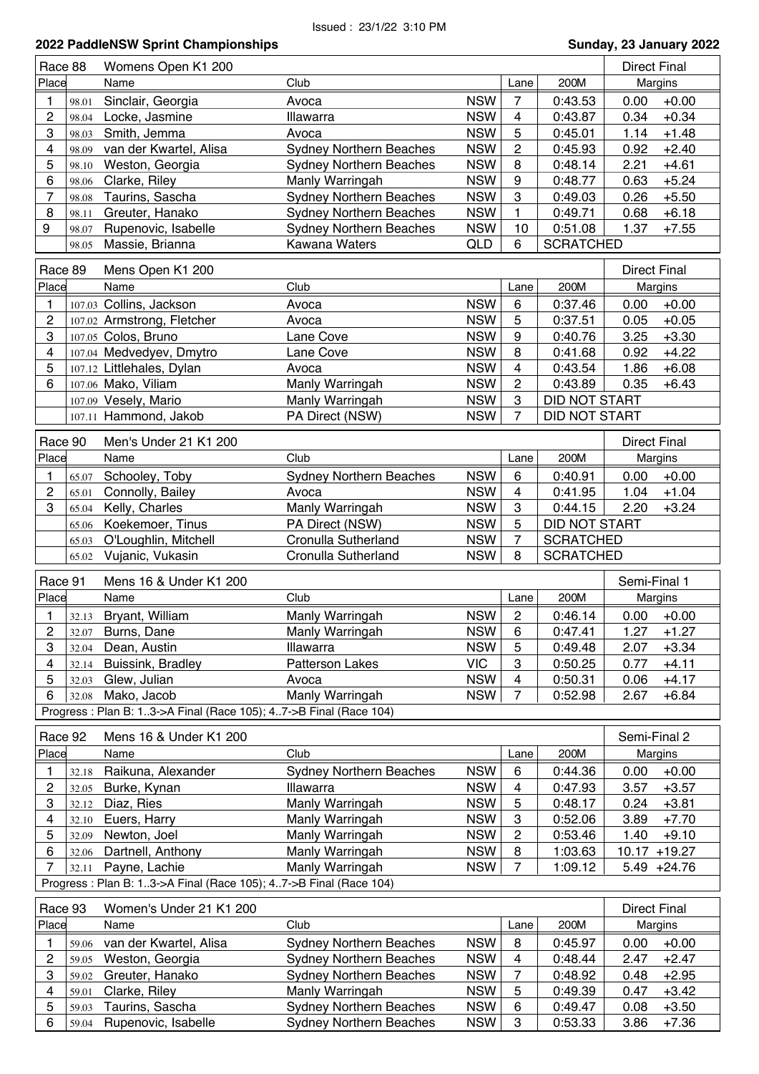| Race 88        |                | Womens Open K1 200                                                |                                                   |                          |                |                      | <b>Direct Final</b>                |
|----------------|----------------|-------------------------------------------------------------------|---------------------------------------------------|--------------------------|----------------|----------------------|------------------------------------|
| Place          |                | Name                                                              | Club                                              |                          | Lane           | 200M                 | Margins                            |
| 1              | 98.01          | Sinclair, Georgia                                                 | Avoca                                             | <b>NSW</b>               | 7              | 0:43.53              | 0.00<br>$+0.00$                    |
| 2              | 98.04          | Locke, Jasmine                                                    | Illawarra                                         | <b>NSW</b>               | 4              | 0:43.87              | 0.34<br>$+0.34$                    |
| 3              | 98.03          | Smith, Jemma                                                      | Avoca                                             | <b>NSW</b>               | 5              | 0:45.01              | 1.14<br>$+1.48$                    |
| 4              | 98.09          | van der Kwartel, Alisa                                            | <b>Sydney Northern Beaches</b>                    | <b>NSW</b>               | 2              | 0:45.93              | $+2.40$<br>0.92                    |
| 5              | 98.10          | Weston, Georgia                                                   | <b>Sydney Northern Beaches</b>                    | <b>NSW</b>               | 8              | 0:48.14              | 2.21<br>$+4.61$                    |
| 6              |                |                                                                   |                                                   | <b>NSW</b>               | 9              | 0:48.77              | $+5.24$                            |
|                | 98.06          | Clarke, Riley                                                     | Manly Warringah                                   |                          |                |                      | 0.63                               |
| 7              | 98.08          | Taurins, Sascha                                                   | Sydney Northern Beaches                           | <b>NSW</b>               | 3              | 0:49.03              | 0.26<br>$+5.50$                    |
| 8              | 98.11          | Greuter, Hanako                                                   | <b>Sydney Northern Beaches</b>                    | <b>NSW</b>               | 1              | 0:49.71              | 0.68<br>$+6.18$                    |
| 9              | 98.07          | Rupenovic, Isabelle                                               | <b>Sydney Northern Beaches</b>                    | <b>NSW</b>               | 10             | 0:51.08              | 1.37<br>$+7.55$                    |
|                | 98.05          | Massie, Brianna                                                   | Kawana Waters                                     | QLD                      | 6              | <b>SCRATCHED</b>     |                                    |
| Race 89        |                | Mens Open K1 200                                                  |                                                   |                          |                |                      | <b>Direct Final</b>                |
| Place          |                | Name                                                              | Club                                              |                          | Lane           | 200M                 | <b>Margins</b>                     |
|                |                |                                                                   |                                                   | <b>NSW</b>               |                |                      |                                    |
| 1              |                | 107.03 Collins, Jackson                                           | Avoca                                             |                          | 6              | 0:37.46              | $+0.00$<br>0.00                    |
| 2              |                | 107.02 Armstrong, Fletcher                                        | Avoca                                             | <b>NSW</b>               | 5              | 0:37.51              | 0.05<br>$+0.05$                    |
| 3              |                | 107.05 Colos, Bruno                                               | Lane Cove                                         | <b>NSW</b>               | 9              | 0:40.76              | 3.25<br>$+3.30$                    |
| 4              |                | 107.04 Medvedyev, Dmytro                                          | Lane Cove                                         | <b>NSW</b>               | 8              | 0:41.68              | 0.92<br>$+4.22$                    |
| 5              |                | 107.12 Littlehales, Dylan                                         | Avoca                                             | <b>NSW</b>               | 4              | 0:43.54              | 1.86<br>$+6.08$                    |
| 6              |                | 107.06 Mako, Viliam                                               | Manly Warringah                                   | <b>NSW</b>               | 2              | 0:43.89              | 0.35<br>$+6.43$                    |
|                |                | 107.09 Vesely, Mario                                              | Manly Warringah                                   | <b>NSW</b>               | 3              | <b>DID NOT START</b> |                                    |
|                |                | 107.11 Hammond, Jakob                                             | PA Direct (NSW)                                   | <b>NSW</b>               | $\overline{7}$ | <b>DID NOT START</b> |                                    |
|                |                |                                                                   |                                                   |                          |                |                      |                                    |
| Race 90        |                | Men's Under 21 K1 200                                             |                                                   |                          |                |                      | <b>Direct Final</b>                |
| Place          |                | Name                                                              | Club                                              |                          | Lane           | 200M                 | Margins                            |
| 1              | 65.07          | Schooley, Toby                                                    | <b>Sydney Northern Beaches</b>                    | <b>NSW</b>               | 6              | 0:40.91              | 0.00<br>$+0.00$                    |
| 2              | 65.01          | Connolly, Bailey                                                  | Avoca                                             | <b>NSW</b>               | 4              | 0:41.95              | 1.04<br>$+1.04$                    |
| 3              | 65.04          | Kelly, Charles                                                    | Manly Warringah                                   | <b>NSW</b>               | 3              | 0:44.15              | 2.20<br>$+3.24$                    |
|                | 65.06          | Koekemoer, Tinus                                                  | PA Direct (NSW)                                   | <b>NSW</b>               | 5              | DID NOT START        |                                    |
|                |                |                                                                   |                                                   |                          |                |                      |                                    |
|                | 65.03          | O'Loughlin, Mitchell                                              | Cronulla Sutherland                               | <b>NSW</b>               | $\overline{7}$ | <b>SCRATCHED</b>     |                                    |
|                | 65.02          | Vujanic, Vukasin                                                  | Cronulla Sutherland                               | <b>NSW</b>               | 8              | <b>SCRATCHED</b>     |                                    |
|                |                |                                                                   |                                                   |                          |                |                      |                                    |
| Race 91        |                | Mens 16 & Under K1 200                                            |                                                   |                          |                |                      | Semi-Final 1                       |
| Place          |                | Name                                                              | Club                                              |                          | Lane           | 200M                 | Margins                            |
| 1              |                | 32.13 Bryant, William                                             | Manly Warringah                                   | <b>NSW</b>               | $\mathbf{2}$   | 0:46.14              | $0.00 + 0.00$                      |
| 2              |                | 32.07 Burns, Dane                                                 | Manly Warringah                                   | NSW                      | $6\phantom{1}$ | 0:47.41              | $1.27 + 1.27$                      |
| 3              | 32.04          | Dean, Austin                                                      | Illawarra                                         | <b>NSW</b>               | 5              | 0:49.48              | $+3.34$<br>2.07                    |
| 4              | 32.14          | Buissink, Bradley                                                 | Patterson Lakes                                   | <b>VIC</b>               | 3              | 0:50.25              | $+4.11$<br>0.77                    |
| 5              | 32.03          |                                                                   | Avoca                                             | <b>NSW</b>               | 4              |                      | 0.06                               |
| 6              |                | Glew, Julian                                                      |                                                   |                          | 7              | 0:50.31              | $+4.17$                            |
|                | 32.08          | Mako, Jacob                                                       | Manly Warringah                                   | <b>NSW</b>               |                | 0:52.98              | 2.67<br>$+6.84$                    |
|                |                | Progress: Plan B: 13->A Final (Race 105); 47->B Final (Race 104)  |                                                   |                          |                |                      |                                    |
| Race 92        |                | Mens 16 & Under K1 200                                            |                                                   |                          |                |                      | Semi-Final 2                       |
| Place          |                | Name                                                              | Club                                              |                          | Lane           | 200M                 | Margins                            |
| 1              | 32.18          | Raikuna, Alexander                                                | <b>Sydney Northern Beaches</b>                    | <b>NSW</b>               | 6              | 0:44.36              | $+0.00$<br>0.00                    |
| 2              | 32.05          | Burke, Kynan                                                      | Illawarra                                         | <b>NSW</b>               | 4              | 0:47.93              | $+3.57$<br>3.57                    |
| 3              |                |                                                                   |                                                   |                          |                |                      |                                    |
| 4              | 32.12          | Diaz, Ries                                                        | Manly Warringah                                   | <b>NSW</b>               | 5              | 0:48.17              | 0.24<br>$+3.81$                    |
|                | 32.10          | Euers, Harry                                                      | Manly Warringah                                   | <b>NSW</b>               | 3              | 0:52.06              | $+7.70$<br>3.89                    |
| 5              | 32.09          | Newton, Joel                                                      | Manly Warringah                                   | <b>NSW</b>               | 2              | 0:53.46              | 1.40<br>$+9.10$                    |
| 6              | 32.06          | Dartnell, Anthony                                                 | Manly Warringah                                   | <b>NSW</b>               | 8              | 1:03.63              | $+19.27$<br>10.17                  |
| $\overline{7}$ | 32.11          | Payne, Lachie                                                     | Manly Warringah                                   | <b>NSW</b>               | 7              | 1:09.12              | $5.49 +24.76$                      |
|                |                | Progress : Plan B: 13->A Final (Race 105); 47->B Final (Race 104) |                                                   |                          |                |                      |                                    |
| Race 93        |                | Women's Under 21 K1 200                                           |                                                   |                          |                |                      | <b>Direct Final</b>                |
| Place          |                | Name                                                              | Club                                              |                          | Lane           | 200M                 |                                    |
|                |                |                                                                   |                                                   |                          |                |                      | Margins                            |
| 1              | 59.06          | van der Kwartel, Alisa                                            | <b>Sydney Northern Beaches</b>                    | <b>NSW</b>               | 8              | 0:45.97              | 0.00<br>$+0.00$                    |
| 2              | 59.05          | Weston, Georgia                                                   | <b>Sydney Northern Beaches</b>                    | <b>NSW</b>               | 4              | 0:48.44              | 2.47<br>$+2.47$                    |
| 3              | 59.02          | Greuter, Hanako                                                   | <b>Sydney Northern Beaches</b>                    | <b>NSW</b>               | 7              | 0:48.92              | $+2.95$<br>0.48                    |
| 4<br>5         | 59.01<br>59.03 | Clarke, Riley<br>Taurins, Sascha                                  | Manly Warringah<br><b>Sydney Northern Beaches</b> | <b>NSW</b><br><b>NSW</b> | 5<br>6         | 0:49.39<br>0:49.47   | 0.47<br>$+3.42$<br>0.08<br>$+3.50$ |

6 59.04 Rupenovic, Isabelle Sydney Northern Beaches NSW 3 0:53.33 3.86 +7.36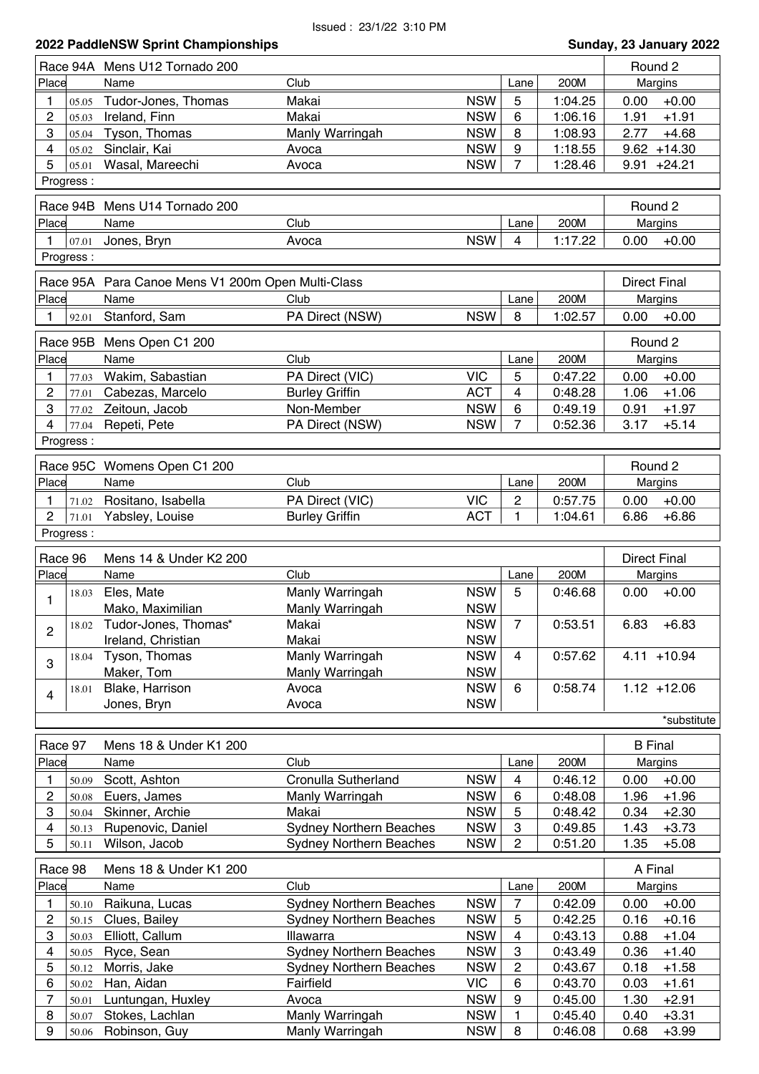|                  |                | 2022 PaddleNSW Sprint Championships               |                                                                  |                          |                     |                    | Sunday, 23 January 2022            |
|------------------|----------------|---------------------------------------------------|------------------------------------------------------------------|--------------------------|---------------------|--------------------|------------------------------------|
|                  |                | Race 94A Mens U12 Tornado 200                     |                                                                  |                          |                     |                    | Round 2                            |
| Place            |                | Name                                              | Club                                                             |                          | Lane                | 200M               | Margins                            |
| 1                | 05.05          | Tudor-Jones, Thomas                               | Makai                                                            | <b>NSW</b>               | 5                   | 1:04.25            | 0.00<br>$+0.00$                    |
| 2                | 05.03          | Ireland, Finn                                     | Makai                                                            | <b>NSW</b>               | 6                   | 1:06.16            | 1.91<br>$+1.91$                    |
| 3                | 05.04          | Tyson, Thomas                                     | Manly Warringah                                                  | <b>NSW</b>               | 8                   | 1:08.93            | 2.77<br>$+4.68$                    |
| 4                | 05.02          | Sinclair, Kai                                     | Avoca                                                            | <b>NSW</b>               | 9                   | 1:18.55            | $9.62 + 14.30$                     |
| 5                | 05.01          | Wasal, Mareechi                                   | Avoca                                                            | <b>NSW</b>               | $\overline{7}$      | 1:28.46            | $9.91 +24.21$                      |
|                  | Progress:      |                                                   |                                                                  |                          |                     |                    |                                    |
|                  | Race 94B       | Mens U14 Tornado 200                              |                                                                  |                          |                     |                    | Round 2                            |
| Place            |                | Name                                              | Club                                                             |                          | Lane                | 200M               | Margins                            |
| 1                | 07.01          | Jones, Bryn                                       | Avoca                                                            | <b>NSW</b>               | 4                   | 1:17.22            | 0.00<br>$+0.00$                    |
|                  | Progress:      |                                                   |                                                                  |                          |                     |                    |                                    |
|                  |                |                                                   |                                                                  |                          |                     |                    |                                    |
|                  |                | Race 95A Para Canoe Mens V1 200m Open Multi-Class |                                                                  |                          |                     |                    | <b>Direct Final</b>                |
| Place            |                | Name                                              | Club                                                             |                          | Lane                | 200M               | Margins                            |
| 1                | 92.01          | Stanford, Sam                                     | PA Direct (NSW)                                                  | <b>NSW</b>               | 8                   | 1:02.57            | 0.00<br>$+0.00$                    |
|                  |                | Race 95B Mens Open C1 200                         |                                                                  |                          |                     |                    | Round 2                            |
| Place            |                | Name                                              | Club                                                             |                          | Lane                | 200M               | Margins                            |
| 1                | 77.03          | Wakim, Sabastian                                  | PA Direct (VIC)                                                  | <b>VIC</b>               | 5                   | 0:47.22            | 0.00<br>$+0.00$                    |
| $\overline{2}$   | 77.01          | Cabezas, Marcelo                                  | <b>Burley Griffin</b>                                            | <b>ACT</b>               | 4                   | 0:48.28            | 1.06<br>$+1.06$                    |
| 3                | 77.02          | Zeitoun, Jacob                                    | Non-Member                                                       | <b>NSW</b>               | 6                   | 0:49.19            | 0.91<br>$+1.97$                    |
| 4                | 77.04          | Repeti, Pete                                      | PA Direct (NSW)                                                  | <b>NSW</b>               | $\overline{7}$      | 0:52.36            | $+5.14$<br>3.17                    |
|                  | Progress:      |                                                   |                                                                  |                          |                     |                    |                                    |
|                  |                |                                                   |                                                                  |                          |                     |                    |                                    |
|                  |                | Race 95C Womens Open C1 200                       |                                                                  |                          |                     |                    | Round 2                            |
| Place            |                | Name                                              | Club                                                             |                          | Lane                | 200M               | Margins                            |
| 1                | 71.02          | Rositano, Isabella                                | PA Direct (VIC)                                                  | <b>VIC</b>               | $\overline{c}$      | 0:57.75            | 0.00<br>$+0.00$                    |
| 2                | 71.01          | Yabsley, Louise                                   | <b>Burley Griffin</b>                                            | <b>ACT</b>               | 1                   | 1:04.61            | $+6.86$<br>6.86                    |
|                  | Progress:      |                                                   |                                                                  |                          |                     |                    |                                    |
| Race 96          |                | Mens 14 & Under K2 200                            |                                                                  |                          |                     |                    | <b>Direct Final</b>                |
| Place            |                | Name                                              | Club                                                             |                          | Lane                | 200M               | Margins                            |
|                  | 18.03          | Eles, Mate                                        | Manly Warringah                                                  | <b>NSW</b>               | 5                   | 0:46.68            | 0.00<br>$+0.00$                    |
| 1                |                | Mako, Maximilian                                  | Manly Warringah                                                  | <b>NSW</b>               |                     |                    |                                    |
|                  | 18.02          | Tudor-Jones, Thomas*                              | Makai                                                            | <b>NSW</b>               | $\overline{7}$      | 0:53.51            | 6.83<br>$+6.83$                    |
| $\overline{c}$   |                | Ireland, Christian                                | Makai                                                            | <b>NSW</b>               |                     |                    |                                    |
|                  | 18.04          | Tyson, Thomas                                     | Manly Warringah                                                  | <b>NSW</b>               | 4                   | 0:57.62            | $4.11 + 10.94$                     |
| 3                |                | Maker, Tom                                        | Manly Warringah                                                  | <b>NSW</b>               |                     |                    |                                    |
|                  | 18.01          | Blake, Harrison                                   | Avoca                                                            | <b>NSW</b>               | 6                   | 0:58.74            | $1.12 + 12.06$                     |
| $\overline{4}$   |                | Jones, Bryn                                       | Avoca                                                            | <b>NSW</b>               |                     |                    |                                    |
|                  |                |                                                   |                                                                  |                          |                     |                    | *substitute                        |
|                  |                |                                                   |                                                                  |                          |                     |                    |                                    |
| Race 97<br>Place |                | Mens 18 & Under K1 200                            |                                                                  |                          |                     | 200M               | <b>B</b> Final                     |
|                  |                | Name                                              | Club                                                             |                          | Lane                |                    | Margins                            |
| 1                | 50.09          | Scott, Ashton                                     | Cronulla Sutherland                                              | <b>NSW</b>               | 4                   | 0:46.12            | $+0.00$<br>0.00                    |
| $\overline{c}$   | 50.08          | Euers, James                                      | Manly Warringah                                                  | <b>NSW</b>               | 6                   | 0:48.08            | 1.96<br>$+1.96$                    |
| 3                | 50.04          | Skinner, Archie                                   | Makai                                                            | <b>NSW</b>               | 5                   | 0:48.42            | 0.34<br>$+2.30$                    |
| 4<br>5           | 50.13<br>50.11 | Rupenovic, Daniel<br>Wilson, Jacob                | <b>Sydney Northern Beaches</b><br><b>Sydney Northern Beaches</b> | <b>NSW</b><br><b>NSW</b> | 3<br>$\overline{c}$ | 0:49.85<br>0:51.20 | $+3.73$<br>1.43<br>1.35<br>$+5.08$ |
|                  |                |                                                   |                                                                  |                          |                     |                    |                                    |
| Race 98          |                | Mens 18 & Under K1 200                            |                                                                  |                          |                     |                    | A Final                            |
| Place            |                | Name                                              | Club                                                             |                          | Lane                | 200M               | Margins                            |
| 1                | 50.10          | Raikuna, Lucas                                    | <b>Sydney Northern Beaches</b>                                   | <b>NSW</b>               | 7                   | 0:42.09            | 0.00<br>$+0.00$                    |
| 2                | 50.15          | Clues, Bailey                                     | <b>Sydney Northern Beaches</b>                                   | <b>NSW</b>               | 5                   | 0:42.25            | 0.16<br>$+0.16$                    |
| 3                | 50.03          | Elliott, Callum                                   | Illawarra                                                        | <b>NSW</b>               | 4                   | 0:43.13            | 0.88<br>$+1.04$                    |
| 4                | 50.05          | Ryce, Sean                                        | <b>Sydney Northern Beaches</b>                                   | <b>NSW</b>               | 3                   | 0:43.49            | 0.36<br>$+1.40$                    |
| 5                | 50.12          | Morris, Jake                                      | <b>Sydney Northern Beaches</b>                                   | <b>NSW</b>               | $\overline{c}$      | 0:43.67            | 0.18<br>$+1.58$                    |
| 6                | 50.02          | Han, Aidan                                        | Fairfield                                                        | <b>VIC</b>               | 6                   | 0:43.70            | 0.03<br>$+1.61$                    |
| 7                | 50.01          | Luntungan, Huxley                                 | Avoca                                                            | <b>NSW</b>               | 9                   | 0:45.00            | 1.30<br>$+2.91$                    |
| 8                | 50.07          | Stokes, Lachlan                                   | Manly Warringah                                                  | <b>NSW</b>               | $\mathbf{1}$        | 0:45.40            | 0.40<br>$+3.31$                    |
| 9                | 50.06          | Robinson, Guy                                     | Manly Warringah                                                  | <b>NSW</b>               | 8                   | 0:46.08            | 0.68<br>$+3.99$                    |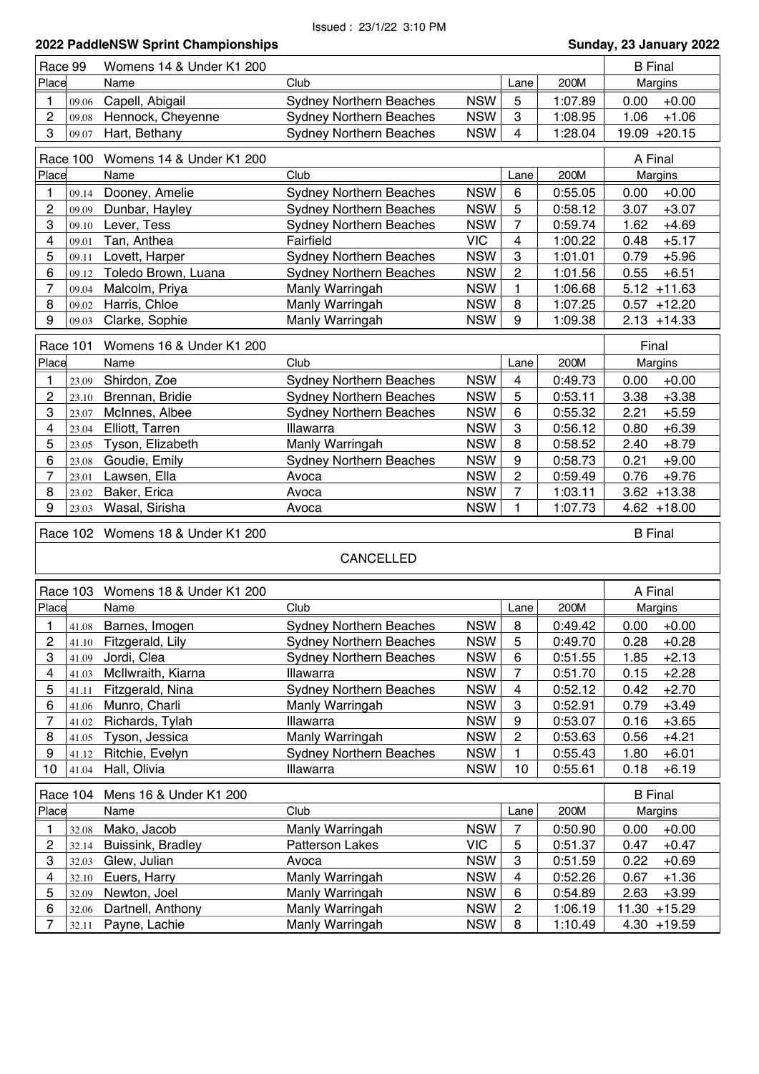|                           | 2022 PaddleNSW Sprint Championships<br>Sunday, 23 January 2022 |                          |                                |            |                |         |                 |  |  |
|---------------------------|----------------------------------------------------------------|--------------------------|--------------------------------|------------|----------------|---------|-----------------|--|--|
| Race 99                   |                                                                | Womens 14 & Under K1 200 |                                |            |                |         | <b>B</b> Final  |  |  |
| Place                     |                                                                | Name                     | Club                           |            | Lane           | 200M    | Margins         |  |  |
| 1                         | 09.06                                                          | Capell, Abigail          | <b>Sydney Northern Beaches</b> | <b>NSW</b> | 5              | 1:07.89 | $+0.00$<br>0.00 |  |  |
| $\overline{c}$            | 09.08                                                          | Hennock, Cheyenne        | <b>Sydney Northern Beaches</b> | <b>NSW</b> | 3              | 1:08.95 | 1.06<br>$+1.06$ |  |  |
| 3                         | 09.07                                                          | Hart, Bethany            | <b>Sydney Northern Beaches</b> | <b>NSW</b> | 4              | 1:28.04 | 19.09 +20.15    |  |  |
|                           |                                                                |                          |                                |            |                |         |                 |  |  |
|                           | Race 100                                                       | Womens 14 & Under K1 200 |                                |            |                |         | A Final         |  |  |
| Place                     |                                                                | Name                     | Club                           |            | Lane           | 200M    | Margins         |  |  |
| 1                         | 09.14                                                          | Dooney, Amelie           | <b>Sydney Northern Beaches</b> | <b>NSW</b> | 6              | 0:55.05 | $+0.00$<br>0.00 |  |  |
| $\overline{c}$            | 09.09                                                          | Dunbar, Hayley           | <b>Sydney Northern Beaches</b> | <b>NSW</b> | 5              | 0:58.12 | $+3.07$<br>3.07 |  |  |
| 3                         | 09.10                                                          | Lever, Tess              | <b>Sydney Northern Beaches</b> | <b>NSW</b> | 7              | 0:59.74 | $+4.69$<br>1.62 |  |  |
| $\overline{\mathbf{4}}$   | 09.01                                                          | Tan, Anthea              | Fairfield                      | <b>VIC</b> | 4              | 1:00.22 | $+5.17$<br>0.48 |  |  |
| 5                         | 09.11                                                          | Lovett, Harper           | <b>Sydney Northern Beaches</b> | <b>NSW</b> | 3              | 1:01.01 | 0.79<br>$+5.96$ |  |  |
| 6                         | 09.12                                                          | Toledo Brown, Luana      | <b>Sydney Northern Beaches</b> | <b>NSW</b> | 2              | 1:01.56 | 0.55<br>$+6.51$ |  |  |
| $\overline{7}$            | 09.04                                                          | Malcolm, Priya           | Manly Warringah                | <b>NSW</b> | 1              | 1:06.68 | $5.12 + 11.63$  |  |  |
| 8                         | 09.02                                                          | Harris, Chloe            | Manly Warringah                | <b>NSW</b> | 8              | 1:07.25 | $0.57 + 12.20$  |  |  |
| 9                         | 09.03                                                          | Clarke, Sophie           | Manly Warringah                | <b>NSW</b> | 9              | 1:09.38 | $2.13 + 14.33$  |  |  |
|                           |                                                                | Womens 16 & Under K1 200 |                                |            |                |         | Final           |  |  |
|                           | Race 101                                                       |                          |                                |            |                |         |                 |  |  |
| Place                     |                                                                | Name                     | Club                           |            | Lane           | 200M    | Margins         |  |  |
| 1                         | 23.09                                                          | Shirdon, Zoe             | <b>Sydney Northern Beaches</b> | <b>NSW</b> | 4              | 0:49.73 | 0.00<br>$+0.00$ |  |  |
| $\overline{c}$            | 23.10                                                          | Brennan, Bridie          | <b>Sydney Northern Beaches</b> | <b>NSW</b> | 5              | 0:53.11 | 3.38<br>$+3.38$ |  |  |
| 3                         | 23.07                                                          | McInnes, Albee           | <b>Sydney Northern Beaches</b> | <b>NSW</b> | 6              | 0:55.32 | 2.21<br>$+5.59$ |  |  |
| 4                         | 23.04                                                          | Elliott, Tarren          | Illawarra                      | <b>NSW</b> | 3              | 0:56.12 | 0.80<br>$+6.39$ |  |  |
| 5                         | 23.05                                                          | Tyson, Elizabeth         | Manly Warringah                | <b>NSW</b> | 8              | 0:58.52 | 2.40<br>$+8.79$ |  |  |
| 6                         | 23.08                                                          | Goudie, Emily            | <b>Sydney Northern Beaches</b> | <b>NSW</b> | 9              | 0:58.73 | 0.21<br>$+9.00$ |  |  |
| $\overline{7}$            | 23.01                                                          | Lawsen, Ella             | Avoca                          | <b>NSW</b> | 2              | 0:59.49 | 0.76<br>$+9.76$ |  |  |
| 8                         | 23.02                                                          | Baker, Erica             | Avoca                          | <b>NSW</b> | 7              | 1:03.11 | $3.62 + 13.38$  |  |  |
| 9                         | 23.03                                                          | Wasal, Sirisha           | Avoca                          | <b>NSW</b> | 1              | 1:07.73 | $4.62 + 18.00$  |  |  |
|                           | Race 102                                                       | Womens 18 & Under K1 200 |                                |            |                |         | <b>B</b> Final  |  |  |
|                           |                                                                |                          |                                |            |                |         |                 |  |  |
|                           |                                                                |                          | CANCELLED                      |            |                |         |                 |  |  |
|                           |                                                                |                          |                                |            |                |         |                 |  |  |
|                           | Race 103                                                       | Womens 18 & Under K1 200 |                                |            |                |         | A Final         |  |  |
| Place                     |                                                                | Name                     | Club                           |            | Lane           | 200M    | Margins         |  |  |
| 1                         | 41.08                                                          | Barnes, Imogen           | <b>Sydney Northern Beaches</b> | <b>NSW</b> | 8              | 0:49.42 | $+0.00$<br>0.00 |  |  |
| $\boldsymbol{2}$          | 41.10                                                          | Fitzgerald, Lily         | <b>Sydney Northern Beaches</b> | <b>NSW</b> | 5              | 0:49.70 | 0.28<br>$+0.28$ |  |  |
| $\ensuremath{\mathsf{3}}$ | 41.09                                                          | Jordi, Clea              | <b>Sydney Northern Beaches</b> | <b>NSW</b> | 6              | 0:51.55 | 1.85<br>$+2.13$ |  |  |
| $\overline{\mathbf{4}}$   | 41.03                                                          | McIlwraith, Kiarna       | Illawarra                      | <b>NSW</b> | 7              | 0:51.70 | 0.15<br>$+2.28$ |  |  |
| 5                         | 41.11                                                          | Fitzgerald, Nina         | <b>Sydney Northern Beaches</b> | <b>NSW</b> | 4              | 0:52.12 | 0.42<br>$+2.70$ |  |  |
| 6                         | 41.06                                                          | Munro, Charli            | Manly Warringah                | <b>NSW</b> | 3              | 0:52.91 | 0.79<br>$+3.49$ |  |  |
| $\overline{7}$            | 41.02                                                          | Richards, Tylah          | Illawarra                      | <b>NSW</b> | 9              | 0:53.07 | 0.16<br>$+3.65$ |  |  |
| 8                         | 41.05                                                          | Tyson, Jessica           | Manly Warringah                | <b>NSW</b> | 2              | 0:53.63 | $+4.21$<br>0.56 |  |  |
| 9                         | 41.12                                                          | Ritchie, Evelyn          | <b>Sydney Northern Beaches</b> | <b>NSW</b> | 1              | 0:55.43 | $+6.01$<br>1.80 |  |  |
| 10                        | 41.04                                                          | Hall, Olivia             | Illawarra                      | <b>NSW</b> | 10             | 0:55.61 | $+6.19$<br>0.18 |  |  |
|                           | Race 104                                                       | Mens 16 & Under K1 200   |                                |            |                |         | <b>B</b> Final  |  |  |
| Place                     |                                                                | Name                     | Club                           |            | Lane           | 200M    | Margins         |  |  |
| 1                         | 32.08                                                          | Mako, Jacob              | Manly Warringah                | <b>NSW</b> | 7              | 0:50.90 | 0.00<br>$+0.00$ |  |  |
| $\boldsymbol{2}$          | 32.14                                                          | Buissink, Bradley        | <b>Patterson Lakes</b>         | <b>VIC</b> | 5              | 0:51.37 | 0.47<br>$+0.47$ |  |  |
| 3                         | 32.03                                                          | Glew, Julian             | Avoca                          | <b>NSW</b> | 3              | 0:51.59 | 0.22<br>$+0.69$ |  |  |
| 4                         | 32.10                                                          | Euers, Harry             | Manly Warringah                | <b>NSW</b> | 4              | 0:52.26 | 0.67<br>$+1.36$ |  |  |
| 5                         | 32.09                                                          | Newton, Joel             | Manly Warringah                | <b>NSW</b> | 6              | 0:54.89 | 2.63<br>$+3.99$ |  |  |
| 6                         |                                                                | Dartnell, Anthony        | Manly Warringah                | <b>NSW</b> | $\overline{c}$ | 1:06.19 | $11.30 + 15.29$ |  |  |
|                           |                                                                |                          |                                |            |                |         |                 |  |  |
| $\overline{7}$            | 32.06<br>32.11                                                 | Payne, Lachie            | Manly Warringah                | <b>NSW</b> | 8              | 1:10.49 | $4.30 + 19.59$  |  |  |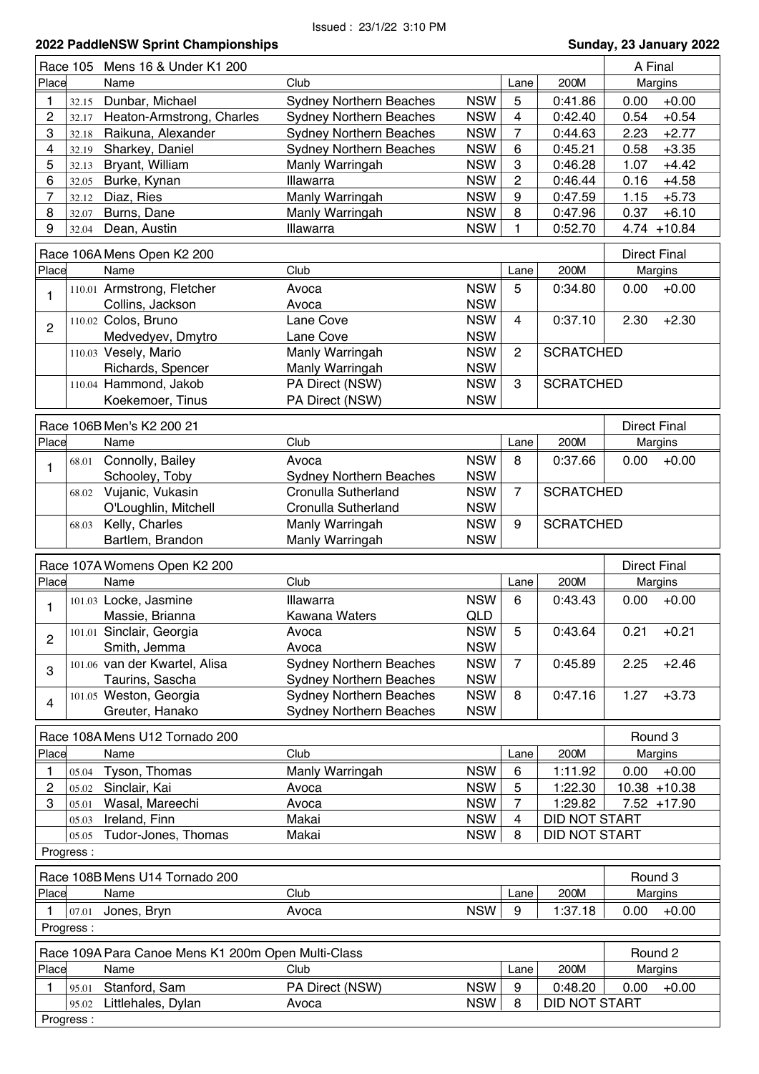|                |                    | Race 105 Mens 16 & Under K1 200                    |                                |            |                |                  | A Final             |
|----------------|--------------------|----------------------------------------------------|--------------------------------|------------|----------------|------------------|---------------------|
| Place          |                    | Name                                               | Club                           |            | Lane           | 200M             | Margins             |
|                | 32.15              | Dunbar, Michael                                    | <b>Sydney Northern Beaches</b> | <b>NSW</b> | 5              | 0:41.86          | $+0.00$<br>0.00     |
| 2              | 32.17              | Heaton-Armstrong, Charles                          | <b>Sydney Northern Beaches</b> | <b>NSW</b> | 4              | 0:42.40          | 0.54<br>$+0.54$     |
| 3              | 32.18              | Raikuna, Alexander                                 | <b>Sydney Northern Beaches</b> | <b>NSW</b> | $\overline{7}$ | 0:44.63          | 2.23<br>$+2.77$     |
| 4              | 32.19              | Sharkey, Daniel                                    | <b>Sydney Northern Beaches</b> | <b>NSW</b> | 6              | 0:45.21          | 0.58<br>$+3.35$     |
| 5              | 32.13              | Bryant, William                                    | Manly Warringah                | <b>NSW</b> | 3              | 0:46.28          | 1.07<br>$+4.42$     |
| 6              | 32.05              | Burke, Kynan                                       | Illawarra                      | <b>NSW</b> | $\overline{c}$ | 0:46.44          | 0.16<br>$+4.58$     |
| 7              | 32.12              | Diaz, Ries                                         | Manly Warringah                | <b>NSW</b> | 9              | 0:47.59          | 1.15<br>$+5.73$     |
| 8              | 32.07              | Burns, Dane                                        | Manly Warringah                | <b>NSW</b> | 8              | 0:47.96          | 0.37<br>$+6.10$     |
| 9              | 32.04              | Dean, Austin                                       | Illawarra                      | <b>NSW</b> | 1              | 0:52.70          | $4.74 + 10.84$      |
|                |                    |                                                    |                                |            |                |                  |                     |
|                |                    | Race 106A Mens Open K2 200                         |                                |            |                |                  | <b>Direct Final</b> |
| Place          |                    | Name                                               | Club                           |            | Lane           | 200M             | Margins             |
|                |                    | 110.01 Armstrong, Fletcher                         | Avoca                          | <b>NSW</b> | 5              | 0:34.80          | $+0.00$<br>0.00     |
| $\mathbf{1}$   |                    | Collins, Jackson                                   | Avoca                          | <b>NSW</b> |                |                  |                     |
|                |                    | 110.02 Colos, Bruno                                | Lane Cove                      | <b>NSW</b> | $\overline{4}$ | 0:37.10          | 2.30<br>$+2.30$     |
| $\overline{c}$ |                    | Medvedyev, Dmytro                                  | Lane Cove                      | <b>NSW</b> |                |                  |                     |
|                |                    | 110.03 Vesely, Mario                               | Manly Warringah                | <b>NSW</b> | $\overline{2}$ | <b>SCRATCHED</b> |                     |
|                |                    | Richards, Spencer                                  | Manly Warringah                | <b>NSW</b> |                |                  |                     |
|                |                    | 110.04 Hammond, Jakob                              | PA Direct (NSW)                | <b>NSW</b> | 3              | <b>SCRATCHED</b> |                     |
|                |                    |                                                    | PA Direct (NSW)                | <b>NSW</b> |                |                  |                     |
|                |                    | Koekemoer, Tinus                                   |                                |            |                |                  |                     |
|                |                    | Race 106B Men's K2 200 21                          |                                |            |                |                  | <b>Direct Final</b> |
| Place          |                    | Name                                               | Club                           |            | Lane           | 200M             | Margins             |
|                | 68.01              | Connolly, Bailey                                   | Avoca                          | <b>NSW</b> | 8              | 0:37.66          | 0.00<br>$+0.00$     |
| 1              |                    | Schooley, Toby                                     | <b>Sydney Northern Beaches</b> | <b>NSW</b> |                |                  |                     |
|                | 68.02              | Vujanic, Vukasin                                   | Cronulla Sutherland            | <b>NSW</b> | $\overline{7}$ | <b>SCRATCHED</b> |                     |
|                |                    |                                                    | Cronulla Sutherland            | <b>NSW</b> |                |                  |                     |
|                |                    | O'Loughlin, Mitchell<br>Kelly, Charles             |                                | <b>NSW</b> | 9              | <b>SCRATCHED</b> |                     |
|                | 68.03              | Bartlem, Brandon                                   | Manly Warringah                | <b>NSW</b> |                |                  |                     |
|                |                    |                                                    | Manly Warringah                |            |                |                  |                     |
|                |                    |                                                    |                                |            |                |                  |                     |
|                |                    | Race 107A Womens Open K2 200                       |                                |            |                |                  | <b>Direct Final</b> |
| Place          |                    | Name                                               | Club                           |            | Lane           | 200M             |                     |
|                |                    |                                                    |                                |            |                |                  | Margins             |
| 1              |                    | 101.03 Locke, Jasmine                              | Illawarra                      | <b>NSW</b> | 6              | 0:43.43          | 0.00<br>$+0.00$     |
|                |                    | Massie, Brianna                                    | Kawana Waters                  | <b>QLD</b> |                |                  |                     |
| 2              |                    | 101.01 Sinclair, Georgia                           | Avoca                          | <b>NSW</b> | 5              | 0:43.64          | 0.21<br>$+0.21$     |
|                |                    | Smith, Jemma                                       | Avoca                          | <b>NSW</b> |                |                  |                     |
| 3              |                    | 101.06 van der Kwartel, Alisa                      | <b>Sydney Northern Beaches</b> | <b>NSW</b> | $\overline{7}$ | 0:45.89          | $+2.46$<br>2.25     |
|                |                    | Taurins, Sascha                                    | <b>Sydney Northern Beaches</b> | <b>NSW</b> |                |                  |                     |
| 4              |                    | 101.05 Weston, Georgia                             | <b>Sydney Northern Beaches</b> | <b>NSW</b> | 8              | 0:47.16          | 1.27<br>$+3.73$     |
|                |                    | Greuter, Hanako                                    | <b>Sydney Northern Beaches</b> | <b>NSW</b> |                |                  |                     |
|                |                    | Race 108A Mens U12 Tornado 200                     |                                |            |                |                  | Round 3             |
|                |                    | Name                                               | Club                           |            |                | 200M             |                     |
| Place          |                    |                                                    |                                |            | Lane           |                  | Margins             |
| 1              |                    | 05.04 Tyson, Thomas                                | Manly Warringah                | <b>NSW</b> | 6              | 1:11.92          | 0.00<br>$+0.00$     |
| 2              | 05.02              | Sinclair, Kai                                      | Avoca                          | <b>NSW</b> | 5              | 1:22.30          | 10.38 +10.38        |
| 3              | 05.01              | Wasal, Mareechi                                    | Avoca                          | <b>NSW</b> | 7              | 1:29.82          | $7.52 + 17.90$      |
|                | 05.03              | Ireland, Finn                                      | Makai                          | <b>NSW</b> | 4              | DID NOT START    |                     |
|                | 05.05              | Tudor-Jones, Thomas                                | Makai                          | <b>NSW</b> | 8              | DID NOT START    |                     |
|                | Progress:          |                                                    |                                |            |                |                  |                     |
|                |                    |                                                    |                                |            |                |                  | Round 3             |
|                |                    | Race 108B Mens U14 Tornado 200                     |                                |            |                |                  |                     |
| Place          |                    | Name                                               | Club                           |            | Lane           | 200M             | Margins             |
|                | 07.01              | Jones, Bryn                                        | Avoca                          | <b>NSW</b> | 9              | 1:37.18          | 0.00<br>$+0.00$     |
|                | Progress:          |                                                    |                                |            |                |                  |                     |
|                |                    | Race 109A Para Canoe Mens K1 200m Open Multi-Class |                                |            |                |                  | Round 2             |
| Place          |                    | Name                                               | Club                           |            | Lane           | 200M             |                     |
|                |                    |                                                    |                                |            |                |                  | Margins             |
| 1              | 95.01              | Stanford, Sam                                      | PA Direct (NSW)                | <b>NSW</b> | 9              | 0:48.20          | 0.00<br>$+0.00$     |
|                | 95.02<br>Progress: | Littlehales, Dylan                                 | Avoca                          | <b>NSW</b> | 8              | DID NOT START    |                     |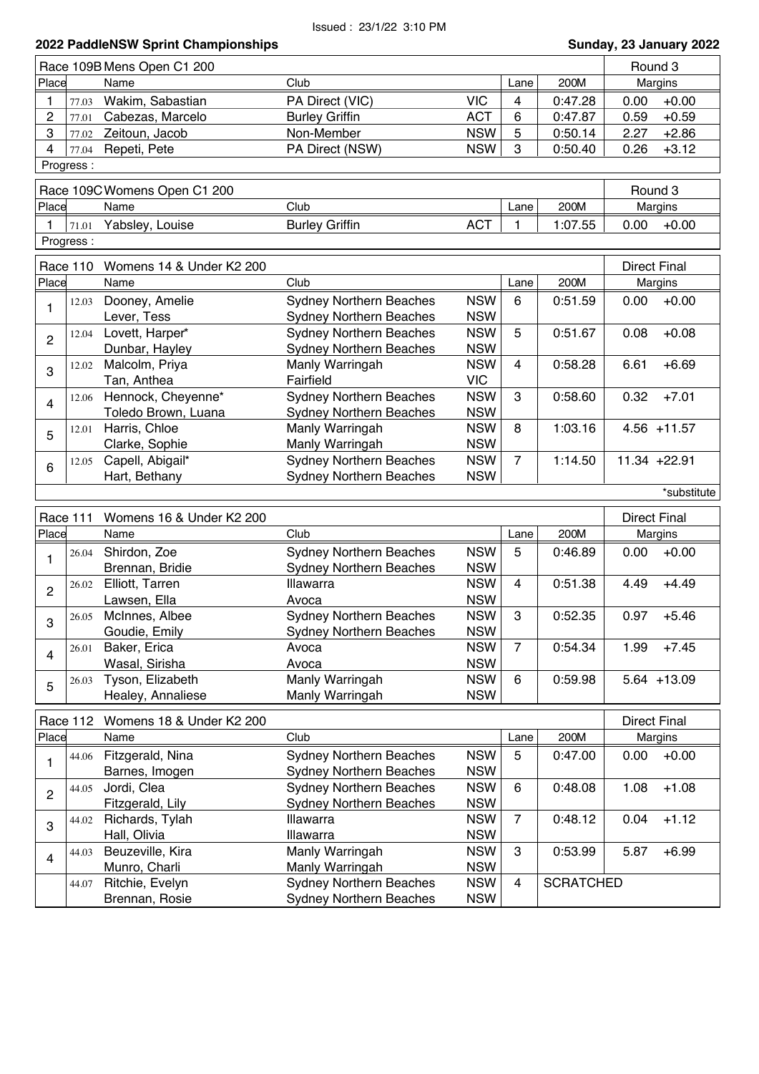|                |           | Race 109B Mens Open C1 200        |                                                                  |                          |                |                  |      | Round 3             |
|----------------|-----------|-----------------------------------|------------------------------------------------------------------|--------------------------|----------------|------------------|------|---------------------|
| Place          |           | Name                              | Club                                                             |                          | Lane           | 200M             |      | Margins             |
| 1              | 77.03     | Wakim, Sabastian                  | PA Direct (VIC)                                                  | <b>VIC</b>               | 4              | 0:47.28          | 0.00 | $+0.00$             |
| 2              | 77.01     | Cabezas, Marcelo                  | <b>Burley Griffin</b>                                            | <b>ACT</b>               | 6              | 0:47.87          | 0.59 | $+0.59$             |
| 3              | 77.02     | Zeitoun, Jacob                    | Non-Member                                                       | <b>NSW</b>               | 5              | 0:50.14          | 2.27 | $+2.86$             |
| 4              | 77.04     | Repeti, Pete                      | PA Direct (NSW)                                                  | <b>NSW</b>               | 3              | 0:50.40          | 0.26 | $+3.12$             |
|                | Progress: |                                   |                                                                  |                          |                |                  |      |                     |
|                |           |                                   |                                                                  |                          |                |                  |      |                     |
|                |           | Race 109C Womens Open C1 200      |                                                                  |                          |                |                  |      | Round 3             |
| Place          |           | Name                              | Club                                                             |                          | Lane           | 200M             |      | Margins             |
| $\mathbf{1}$   | 71.01     | Yabsley, Louise                   | <b>Burley Griffin</b>                                            | <b>ACT</b>               | 1              | 1:07.55          | 0.00 | $+0.00$             |
|                | Progress: |                                   |                                                                  |                          |                |                  |      |                     |
|                | Race 110  | Womens 14 & Under K2 200          |                                                                  |                          |                |                  |      | <b>Direct Final</b> |
| Place          |           | Name                              | Club                                                             |                          | Lane           | 200M             |      | Margins             |
|                | 12.03     | Dooney, Amelie                    | <b>Sydney Northern Beaches</b>                                   | <b>NSW</b>               | 6              | 0:51.59          | 0.00 | $+0.00$             |
| 1              |           | Lever, Tess                       | <b>Sydney Northern Beaches</b>                                   | <b>NSW</b>               |                |                  |      |                     |
|                | 12.04     | Lovett, Harper*                   | <b>Sydney Northern Beaches</b>                                   | <b>NSW</b>               | 5              | 0:51.67          | 0.08 | $+0.08$             |
| $\overline{2}$ |           | Dunbar, Hayley                    | <b>Sydney Northern Beaches</b>                                   | <b>NSW</b>               |                |                  |      |                     |
|                | 12.02     | Malcolm, Priya                    | Manly Warringah                                                  | <b>NSW</b>               | 4              | 0:58.28          | 6.61 | $+6.69$             |
| 3              |           | Tan, Anthea                       | Fairfield                                                        | <b>VIC</b>               |                |                  |      |                     |
|                | 12.06     | Hennock, Cheyenne*                | <b>Sydney Northern Beaches</b>                                   | <b>NSW</b>               | 3              | 0:58.60          | 0.32 | $+7.01$             |
| $\overline{4}$ |           | Toledo Brown, Luana               | <b>Sydney Northern Beaches</b>                                   | <b>NSW</b>               |                |                  |      |                     |
|                | 12.01     | Harris, Chloe                     | Manly Warringah                                                  | <b>NSW</b>               | 8              | 1:03.16          |      | $4.56 + 11.57$      |
| 5              |           | Clarke, Sophie                    | Manly Warringah                                                  | <b>NSW</b>               |                |                  |      |                     |
|                | 12.05     | Capell, Abigail*                  | <b>Sydney Northern Beaches</b>                                   | <b>NSW</b>               | $\overline{7}$ | 1:14.50          |      | 11.34 +22.91        |
| 6              |           |                                   | <b>Sydney Northern Beaches</b>                                   | <b>NSW</b>               |                |                  |      |                     |
|                |           |                                   |                                                                  |                          |                |                  |      |                     |
|                |           | Hart, Bethany                     |                                                                  |                          |                |                  |      | *substitute         |
|                |           |                                   |                                                                  |                          |                |                  |      |                     |
|                | Race 111  | Womens 16 & Under K2 200          |                                                                  |                          |                |                  |      | <b>Direct Final</b> |
| Place          |           | Name                              | Club                                                             |                          | Lane           | 200M             |      | Margins             |
| 1              | 26.04     | Shirdon, Zoe                      | <b>Sydney Northern Beaches</b>                                   | <b>NSW</b>               | 5              | 0:46.89          | 0.00 | $+0.00$             |
|                |           | Brennan, Bridie                   | <b>Sydney Northern Beaches</b>                                   | <b>NSW</b>               |                |                  |      |                     |
| $\overline{c}$ | 26.02     | Elliott, Tarren                   | Illawarra                                                        | <b>NSW</b>               | 4              | 0:51.38          | 4.49 | $+4.49$             |
|                |           | Lawsen, Ella                      | Avoca                                                            | <b>NSW</b>               |                |                  |      |                     |
| 3              | 26.05     | McInnes, Albee                    | <b>Sydney Northern Beaches</b>                                   | <b>NSW</b>               | 3              | 0:52.35          | 0.97 | $+5.46$             |
|                |           | Goudie, Emily                     | <b>Sydney Northern Beaches</b>                                   | <b>NSW</b>               |                |                  |      |                     |
| $\overline{4}$ | 26.01     | Baker, Erica                      | Avoca                                                            | <b>NSW</b>               | $\overline{7}$ | 0:54.34          | 1.99 | $+7.45$             |
|                |           | Wasal, Sirisha                    | Avoca                                                            | <b>NSW</b>               |                |                  |      |                     |
| 5              | 26.03     | Tyson, Elizabeth                  | Manly Warringah                                                  | <b>NSW</b>               | 6              | 0:59.98          |      | $5.64$ +13.09       |
|                |           | Healey, Annaliese                 | Manly Warringah                                                  | <b>NSW</b>               |                |                  |      |                     |
|                | Race 112  | Womens 18 & Under K2 200          |                                                                  |                          |                |                  |      | <b>Direct Final</b> |
| Place          |           | Name                              | Club                                                             |                          | Lane           | 200M             |      | Margins             |
|                | 44.06     | Fitzgerald, Nina                  | <b>Sydney Northern Beaches</b>                                   | <b>NSW</b>               | 5              | 0:47.00          | 0.00 | $+0.00$             |
| 1              |           | Barnes, Imogen                    | <b>Sydney Northern Beaches</b>                                   | <b>NSW</b>               |                |                  |      |                     |
|                | 44.05     | Jordi, Clea                       | <b>Sydney Northern Beaches</b>                                   | <b>NSW</b>               | 6              | 0:48.08          | 1.08 | $+1.08$             |
| $\overline{c}$ |           | Fitzgerald, Lily                  | <b>Sydney Northern Beaches</b>                                   | <b>NSW</b>               |                |                  |      |                     |
|                | 44.02     | Richards, Tylah                   | Illawarra                                                        | <b>NSW</b>               | $\overline{7}$ | 0:48.12          | 0.04 | $+1.12$             |
| 3              |           | Hall, Olivia                      | Illawarra                                                        | <b>NSW</b>               |                |                  |      |                     |
|                | 44.03     | Beuzeville, Kira                  | Manly Warringah                                                  | <b>NSW</b>               | 3              | 0:53.99          | 5.87 | $+6.99$             |
| 4              |           | Munro, Charli                     | Manly Warringah                                                  | <b>NSW</b>               |                |                  |      |                     |
|                | 44.07     | Ritchie, Evelyn<br>Brennan, Rosie | <b>Sydney Northern Beaches</b><br><b>Sydney Northern Beaches</b> | <b>NSW</b><br><b>NSW</b> | 4              | <b>SCRATCHED</b> |      |                     |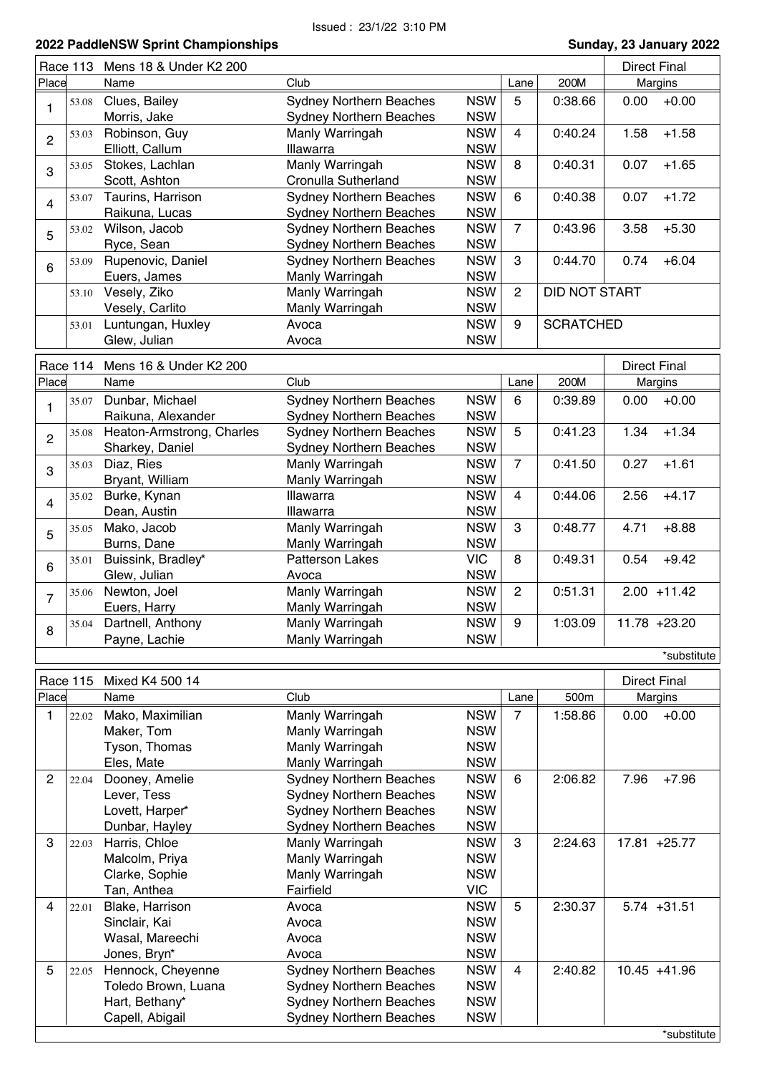\*substitute

|                         | Race 113 | Mens 18 & Under K2 200    |                                |            |                |                  |      | <b>Direct Final</b> |
|-------------------------|----------|---------------------------|--------------------------------|------------|----------------|------------------|------|---------------------|
| Place                   |          | Name                      | Club                           |            | Lane           | 200M             |      | Margins             |
|                         | 53.08    | Clues, Bailey             | <b>Sydney Northern Beaches</b> | <b>NSW</b> | 5              | 0:38.66          | 0.00 | $+0.00$             |
| 1                       |          | Morris, Jake              | <b>Sydney Northern Beaches</b> | <b>NSW</b> |                |                  |      |                     |
|                         | 53.03    | Robinson, Guy             | Manly Warringah                | <b>NSW</b> | $\overline{4}$ | 0:40.24          | 1.58 | $+1.58$             |
| $\overline{2}$          |          | Elliott, Callum           | Illawarra                      | <b>NSW</b> |                |                  |      |                     |
|                         | 53.05    | Stokes, Lachlan           | Manly Warringah                | <b>NSW</b> | 8              | 0:40.31          | 0.07 | $+1.65$             |
| 3                       |          | Scott, Ashton             | Cronulla Sutherland            | <b>NSW</b> |                |                  |      |                     |
|                         | 53.07    | Taurins, Harrison         | Sydney Northern Beaches        | <b>NSW</b> | 6              | 0:40.38          | 0.07 | $+1.72$             |
| $\overline{\mathbf{4}}$ |          | Raikuna, Lucas            | <b>Sydney Northern Beaches</b> | <b>NSW</b> |                |                  |      |                     |
|                         | 53.02    | Wilson, Jacob             | <b>Sydney Northern Beaches</b> | <b>NSW</b> | $\overline{7}$ | 0:43.96          | 3.58 | $+5.30$             |
| 5                       |          | Ryce, Sean                | <b>Sydney Northern Beaches</b> | <b>NSW</b> |                |                  |      |                     |
|                         | 53.09    | Rupenovic, Daniel         | <b>Sydney Northern Beaches</b> | <b>NSW</b> | 3              | 0:44.70          | 0.74 | $+6.04$             |
| $6\phantom{1}6$         |          | Euers, James              | Manly Warringah                | <b>NSW</b> |                |                  |      |                     |
|                         | 53.10    | Vesely, Ziko              | Manly Warringah                | <b>NSW</b> | $\overline{2}$ | DID NOT START    |      |                     |
|                         |          | Vesely, Carlito           | Manly Warringah                | <b>NSW</b> |                |                  |      |                     |
|                         | 53.01    | Luntungan, Huxley         | Avoca                          | <b>NSW</b> | 9              | <b>SCRATCHED</b> |      |                     |
|                         |          | Glew, Julian              | Avoca                          | <b>NSW</b> |                |                  |      |                     |
|                         |          |                           |                                |            |                |                  |      |                     |
|                         | Race 114 | Mens 16 & Under K2 200    |                                |            |                |                  |      | <b>Direct Final</b> |
| Place                   |          | Name                      | Club                           |            | Lane           | 200M             |      | Margins             |
| 1                       | 35.07    | Dunbar, Michael           | <b>Sydney Northern Beaches</b> | <b>NSW</b> | 6              | 0:39.89          | 0.00 | $+0.00$             |
|                         |          | Raikuna, Alexander        | <b>Sydney Northern Beaches</b> | <b>NSW</b> |                |                  |      |                     |
| $\overline{c}$          | 35.08    | Heaton-Armstrong, Charles | <b>Sydney Northern Beaches</b> | <b>NSW</b> | 5              | 0:41.23          | 1.34 | $+1.34$             |
|                         |          | Sharkey, Daniel           | <b>Sydney Northern Beaches</b> | <b>NSW</b> |                |                  |      |                     |
| 3                       | 35.03    | Diaz, Ries                | Manly Warringah                | <b>NSW</b> | $\overline{7}$ | 0:41.50          | 0.27 | $+1.61$             |
|                         |          | Bryant, William           | Manly Warringah                | <b>NSW</b> |                |                  |      |                     |
|                         | 35.02    | Burke, Kynan              | Illawarra                      | <b>NSW</b> | $\overline{4}$ | 0:44.06          | 2.56 | $+4.17$             |
| $\overline{\mathbf{4}}$ |          | Dean, Austin              | Illawarra                      | <b>NSW</b> |                |                  |      |                     |
|                         | 35.05    | Mako, Jacob               | Manly Warringah                | <b>NSW</b> | 3              | 0:48.77          | 4.71 | $+8.88$             |
| 5                       |          | Burns, Dane               | Manly Warringah                | <b>NSW</b> |                |                  |      |                     |
|                         | 35.01    | Buissink, Bradley*        | <b>Patterson Lakes</b>         | <b>VIC</b> | 8              | 0:49.31          | 0.54 | $+9.42$             |
| $6\phantom{1}6$         |          | Glew, Julian              | Avoca                          | <b>NSW</b> |                |                  |      |                     |
|                         | 35.06    | Newton, Joel              | Manly Warringah                | <b>NSW</b> | $\overline{2}$ | 0:51.31          |      | $2.00 + 11.42$      |
| $\overline{7}$          |          | Euers, Harry              | Manly Warringah                | <b>NSW</b> |                |                  |      |                     |
|                         |          | 35.04 Dartnell, Anthony   | Manly Warringah                | <b>NSW</b> | 9              | 1:03.09          |      | 11.78 +23.20        |
| 8                       |          | Payne, Lachie             | Manly Warringah                | <b>NSW</b> |                |                  |      |                     |
|                         |          |                           |                                |            |                |                  |      | *substitute         |
|                         |          |                           |                                |            |                |                  |      |                     |
|                         | Race 115 | Mixed K4 500 14           |                                |            |                |                  |      | <b>Direct Final</b> |
| Place                   |          | Name                      | Club                           |            | Lane           | 500m             |      | Margins             |
| 1                       | 22.02    | Mako, Maximilian          | Manly Warringah                | <b>NSW</b> | 7              | 1:58.86          | 0.00 | $+0.00$             |
|                         |          | Maker, Tom                | Manly Warringah                | <b>NSW</b> |                |                  |      |                     |
|                         |          | Tyson, Thomas             | Manly Warringah                | <b>NSW</b> |                |                  |      |                     |
|                         |          | Eles, Mate                | Manly Warringah                | <b>NSW</b> |                |                  |      |                     |
| $\mathbf{2}$            | 22.04    | Dooney, Amelie            | <b>Sydney Northern Beaches</b> | <b>NSW</b> | 6              | 2:06.82          | 7.96 | $+7.96$             |
|                         |          | Lever, Tess               | <b>Sydney Northern Beaches</b> | <b>NSW</b> |                |                  |      |                     |
|                         |          | Lovett, Harper*           | <b>Sydney Northern Beaches</b> | <b>NSW</b> |                |                  |      |                     |
|                         |          | Dunbar, Hayley            | <b>Sydney Northern Beaches</b> | <b>NSW</b> |                |                  |      |                     |
| 3                       | 22.03    | Harris, Chloe             | Manly Warringah                | <b>NSW</b> | 3              | 2:24.63          |      | 17.81 +25.77        |
|                         |          | Malcolm, Priya            | Manly Warringah                | <b>NSW</b> |                |                  |      |                     |
|                         |          | Clarke, Sophie            | Manly Warringah                | <b>NSW</b> |                |                  |      |                     |
|                         |          | Tan, Anthea               | Fairfield                      | <b>VIC</b> |                |                  |      |                     |
| 4                       | 22.01    | Blake, Harrison           | Avoca                          | <b>NSW</b> | 5              | 2:30.37          |      | $5.74 + 31.51$      |
|                         |          | Sinclair, Kai             | Avoca                          | <b>NSW</b> |                |                  |      |                     |
|                         |          | Wasal, Mareechi           | Avoca                          | <b>NSW</b> |                |                  |      |                     |
|                         |          | Jones, Bryn*              | Avoca                          | <b>NSW</b> |                |                  |      |                     |
| 5                       | 22.05    | Hennock, Cheyenne         | Sydney Northern Beaches        | <b>NSW</b> | $\overline{4}$ | 2:40.82          |      | $10.45 + 41.96$     |
|                         |          | Toledo Brown, Luana       | <b>Sydney Northern Beaches</b> | <b>NSW</b> |                |                  |      |                     |
|                         |          | Hart, Bethany*            | <b>Sydney Northern Beaches</b> | <b>NSW</b> |                |                  |      |                     |
|                         |          | Capell, Abigail           | <b>Sydney Northern Beaches</b> | <b>NSW</b> |                |                  |      |                     |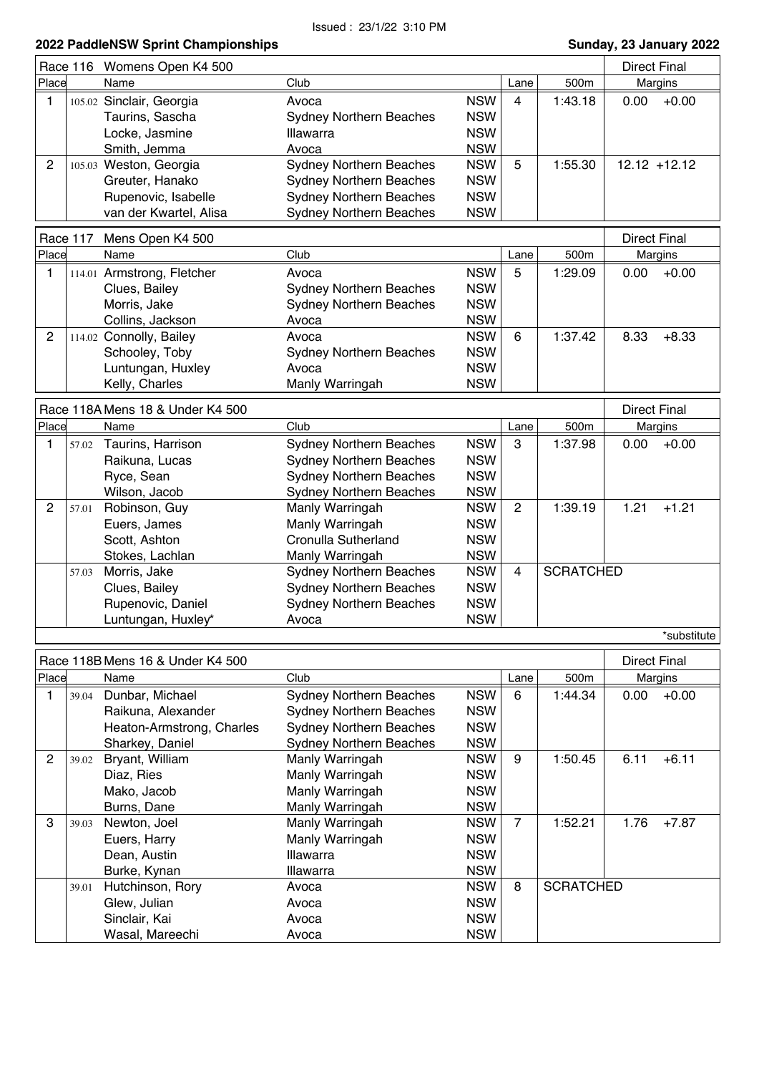|                |          | Race 116 Womens Open K4 500      |                                |            |                | <b>Direct Final</b> |                     |                 |
|----------------|----------|----------------------------------|--------------------------------|------------|----------------|---------------------|---------------------|-----------------|
| Place          |          | Name                             | Club                           |            | Lane           | 500m                |                     | Margins         |
| 1              |          | 105.02 Sinclair, Georgia         | Avoca                          | <b>NSW</b> | 4              | 1:43.18             | 0.00                | $+0.00$         |
|                |          | Taurins, Sascha                  | <b>Sydney Northern Beaches</b> | <b>NSW</b> |                |                     |                     |                 |
|                |          | Locke, Jasmine                   | <b>Illawarra</b>               | <b>NSW</b> |                |                     |                     |                 |
|                |          | Smith, Jemma                     | Avoca                          | <b>NSW</b> |                |                     |                     |                 |
| $\overline{2}$ |          | 105.03 Weston, Georgia           | <b>Sydney Northern Beaches</b> | <b>NSW</b> | 5              | 1:55.30             |                     | $12.12 + 12.12$ |
|                |          | Greuter, Hanako                  | <b>Sydney Northern Beaches</b> | <b>NSW</b> |                |                     |                     |                 |
|                |          | Rupenovic, Isabelle              | <b>Sydney Northern Beaches</b> | <b>NSW</b> |                |                     |                     |                 |
|                |          | van der Kwartel, Alisa           | <b>Sydney Northern Beaches</b> | <b>NSW</b> |                |                     |                     |                 |
|                |          |                                  |                                |            |                |                     |                     |                 |
|                | Race 117 | Mens Open K4 500                 |                                |            |                |                     | <b>Direct Final</b> |                 |
| Place          |          | Name                             | Club                           |            | Lane           | 500m                |                     | Margins         |
| 1              |          | 114.01 Armstrong, Fletcher       | Avoca                          | <b>NSW</b> | 5              | 1:29.09             | 0.00                | $+0.00$         |
|                |          | Clues, Bailey                    | <b>Sydney Northern Beaches</b> | <b>NSW</b> |                |                     |                     |                 |
|                |          | Morris, Jake                     | <b>Sydney Northern Beaches</b> | <b>NSW</b> |                |                     |                     |                 |
|                |          | Collins, Jackson                 | Avoca                          | <b>NSW</b> |                |                     |                     |                 |
| $\overline{c}$ |          | 114.02 Connolly, Bailey          | Avoca                          | <b>NSW</b> | 6              | 1:37.42             | 8.33                | $+8.33$         |
|                |          | Schooley, Toby                   | <b>Sydney Northern Beaches</b> | <b>NSW</b> |                |                     |                     |                 |
|                |          | Luntungan, Huxley                | Avoca                          | <b>NSW</b> |                |                     |                     |                 |
|                |          | Kelly, Charles                   | Manly Warringah                | <b>NSW</b> |                |                     |                     |                 |
|                |          |                                  |                                |            |                |                     |                     |                 |
|                |          | Race 118A Mens 18 & Under K4 500 |                                |            |                |                     | <b>Direct Final</b> |                 |
| Place          |          | Name                             | Club                           |            | Lane           | 500m                |                     | Margins         |
| $\mathbf{1}$   | 57.02    | Taurins, Harrison                | <b>Sydney Northern Beaches</b> | <b>NSW</b> | 3              | 1:37.98             | 0.00                | $+0.00$         |
|                |          | Raikuna, Lucas                   | <b>Sydney Northern Beaches</b> | <b>NSW</b> |                |                     |                     |                 |
|                |          | Ryce, Sean                       | <b>Sydney Northern Beaches</b> | <b>NSW</b> |                |                     |                     |                 |
|                |          | Wilson, Jacob                    | <b>Sydney Northern Beaches</b> | <b>NSW</b> |                |                     |                     |                 |
| $\overline{c}$ | 57.01    | Robinson, Guy                    | Manly Warringah                | <b>NSW</b> | $\overline{2}$ | 1:39.19             | 1.21                | $+1.21$         |
|                |          | Euers, James                     | Manly Warringah                | <b>NSW</b> |                |                     |                     |                 |
|                |          | Scott, Ashton                    | Cronulla Sutherland            | <b>NSW</b> |                |                     |                     |                 |
|                |          | Stokes, Lachlan                  | Manly Warringah                | <b>NSW</b> |                |                     |                     |                 |
|                | 57.03    | Morris, Jake                     | <b>Sydney Northern Beaches</b> | <b>NSW</b> | $\overline{4}$ | <b>SCRATCHED</b>    |                     |                 |
|                |          | Clues, Bailey                    | <b>Sydney Northern Beaches</b> | <b>NSW</b> |                |                     |                     |                 |
|                |          | Rupenovic, Daniel                | <b>Sydney Northern Beaches</b> | <b>NSW</b> |                |                     |                     |                 |
|                |          | Luntungan, Huxley*               | Avoca                          | <b>NSW</b> |                |                     |                     |                 |
|                |          |                                  |                                |            |                |                     |                     | *substitute     |
|                |          |                                  |                                |            |                |                     |                     |                 |
|                |          | Race 118B Mens 16 & Under K4 500 |                                |            |                |                     | <b>Direct Final</b> |                 |
| Place          |          | Name                             | Club                           |            | Lane           | 500m                |                     | Margins         |
| 1              | 39.04    | Dunbar, Michael                  | <b>Sydney Northern Beaches</b> | <b>NSW</b> | 6              | 1:44.34             | 0.00                | $+0.00$         |
|                |          | Raikuna, Alexander               | <b>Sydney Northern Beaches</b> | <b>NSW</b> |                |                     |                     |                 |
|                |          | Heaton-Armstrong, Charles        | <b>Sydney Northern Beaches</b> | <b>NSW</b> |                |                     |                     |                 |
|                |          | Sharkey, Daniel                  | <b>Sydney Northern Beaches</b> | <b>NSW</b> |                |                     |                     |                 |
| $\overline{c}$ | 39.02    | Bryant, William                  | Manly Warringah                | <b>NSW</b> | 9              | 1:50.45             | 6.11                | $+6.11$         |
|                |          | Diaz, Ries                       | Manly Warringah                | <b>NSW</b> |                |                     |                     |                 |
|                |          | Mako, Jacob                      | Manly Warringah                | <b>NSW</b> |                |                     |                     |                 |
|                |          | Burns, Dane                      | Manly Warringah                | <b>NSW</b> |                |                     |                     |                 |
| 3              | 39.03    | Newton, Joel                     | Manly Warringah                | <b>NSW</b> | $\overline{7}$ | 1:52.21             | 1.76                | $+7.87$         |
|                |          | Euers, Harry                     | Manly Warringah                | <b>NSW</b> |                |                     |                     |                 |
|                |          | Dean, Austin                     | Illawarra                      | <b>NSW</b> |                |                     |                     |                 |
|                |          | Burke, Kynan                     | Illawarra                      | <b>NSW</b> |                |                     |                     |                 |
|                | 39.01    | Hutchinson, Rory                 | Avoca                          | <b>NSW</b> | 8              | <b>SCRATCHED</b>    |                     |                 |
|                |          | Glew, Julian                     | Avoca                          | <b>NSW</b> |                |                     |                     |                 |
|                |          | Sinclair, Kai                    | Avoca                          | <b>NSW</b> |                |                     |                     |                 |
|                |          | Wasal, Mareechi                  | Avoca                          | <b>NSW</b> |                |                     |                     |                 |
|                |          |                                  |                                |            |                |                     |                     |                 |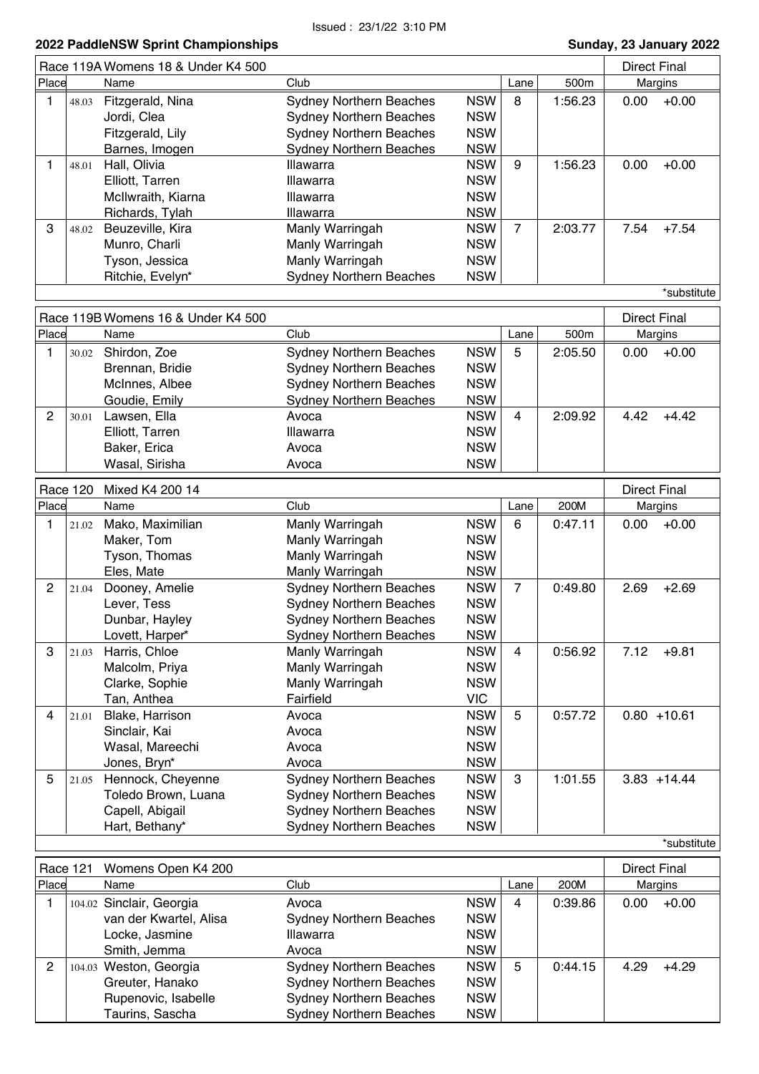|                |                 | Race 119A Womens 18 & Under K4 500 |                                |            |                |         | <b>Direct Final</b> |                |
|----------------|-----------------|------------------------------------|--------------------------------|------------|----------------|---------|---------------------|----------------|
| Place          |                 | Name                               | Club                           |            | Lane           | 500m    |                     | Margins        |
| 1              | 48.03           | Fitzgerald, Nina                   | <b>Sydney Northern Beaches</b> | <b>NSW</b> | 8              | 1:56.23 | 0.00                | $+0.00$        |
|                |                 | Jordi, Clea                        | <b>Sydney Northern Beaches</b> | <b>NSW</b> |                |         |                     |                |
|                |                 | Fitzgerald, Lily                   | <b>Sydney Northern Beaches</b> | <b>NSW</b> |                |         |                     |                |
|                |                 | Barnes, Imogen                     | <b>Sydney Northern Beaches</b> | <b>NSW</b> |                |         |                     |                |
| 1              | 48.01           | Hall, Olivia                       | <b>Illawarra</b>               | <b>NSW</b> | 9              | 1:56.23 | 0.00                | $+0.00$        |
|                |                 | Elliott, Tarren                    | Illawarra                      | <b>NSW</b> |                |         |                     |                |
|                |                 | McIlwraith, Kiarna                 | Illawarra                      | <b>NSW</b> |                |         |                     |                |
|                |                 | Richards, Tylah                    | Illawarra                      | <b>NSW</b> |                |         |                     |                |
| 3              | 48.02           | Beuzeville, Kira                   | Manly Warringah                | <b>NSW</b> | $\overline{7}$ | 2:03.77 | 7.54                | $+7.54$        |
|                |                 | Munro, Charli                      | Manly Warringah                | <b>NSW</b> |                |         |                     |                |
|                |                 | Tyson, Jessica                     | Manly Warringah                | <b>NSW</b> |                |         |                     |                |
|                |                 | Ritchie, Evelyn*                   | <b>Sydney Northern Beaches</b> | <b>NSW</b> |                |         |                     |                |
|                |                 |                                    |                                |            |                |         |                     | *substitute    |
|                |                 |                                    |                                |            |                |         |                     |                |
| Place          |                 | Race 119B Womens 16 & Under K4 500 |                                |            |                |         | <b>Direct Final</b> |                |
|                |                 | Name                               | Club                           |            | Lane           | 500m    |                     | Margins        |
| 1              | 30.02           | Shirdon, Zoe                       | <b>Sydney Northern Beaches</b> | <b>NSW</b> | 5              | 2:05.50 | 0.00                | $+0.00$        |
|                |                 | Brennan, Bridie                    | <b>Sydney Northern Beaches</b> | <b>NSW</b> |                |         |                     |                |
|                |                 | McInnes, Albee                     | <b>Sydney Northern Beaches</b> | <b>NSW</b> |                |         |                     |                |
|                |                 | Goudie, Emily                      | <b>Sydney Northern Beaches</b> | <b>NSW</b> |                |         |                     |                |
| 2              | 30.01           | Lawsen, Ella                       | Avoca                          | <b>NSW</b> | 4              | 2:09.92 | 4.42                | $+4.42$        |
|                |                 | Elliott, Tarren                    | Illawarra                      | <b>NSW</b> |                |         |                     |                |
|                |                 | Baker, Erica                       | Avoca                          | <b>NSW</b> |                |         |                     |                |
|                |                 | Wasal, Sirisha                     | Avoca                          | <b>NSW</b> |                |         |                     |                |
|                | <b>Race 120</b> | Mixed K4 200 14                    |                                |            |                |         | <b>Direct Final</b> |                |
| Place          |                 | Name                               | Club                           |            | Lane           | 200M    |                     | Margins        |
| 1              | 21.02           | Mako, Maximilian                   | Manly Warringah                | <b>NSW</b> | 6              | 0:47.11 | 0.00                | $+0.00$        |
|                |                 | Maker, Tom                         | Manly Warringah                | <b>NSW</b> |                |         |                     |                |
|                |                 | Tyson, Thomas                      | Manly Warringah                | <b>NSW</b> |                |         |                     |                |
|                |                 | Eles, Mate                         | Manly Warringah                | <b>NSW</b> |                |         |                     |                |
| $\overline{c}$ | 21.04           | Dooney, Amelie                     | <b>Sydney Northern Beaches</b> | <b>NSW</b> | $\overline{7}$ | 0:49.80 | 2.69                | $+2.69$        |
|                |                 | Lever, Tess                        | <b>Sydney Northern Beaches</b> | <b>NSW</b> |                |         |                     |                |
|                |                 | Dunbar, Hayley                     | <b>Sydney Northern Beaches</b> | <b>NSW</b> |                |         |                     |                |
|                |                 | Lovett, Harper*                    | <b>Sydney Northern Beaches</b> | <b>NSW</b> |                |         |                     |                |
| 3              | 21.03           | Harris, Chloe                      | Manly Warringah                | <b>NSW</b> | 4              | 0:56.92 | 7.12                | $+9.81$        |
|                |                 | Malcolm, Priya                     | Manly Warringah                | <b>NSW</b> |                |         |                     |                |
|                |                 | Clarke, Sophie                     | Manly Warringah                | <b>NSW</b> |                |         |                     |                |
|                |                 | Tan, Anthea                        | Fairfield                      | <b>VIC</b> |                |         |                     |                |
| 4              | 21.01           | Blake, Harrison                    | Avoca                          | <b>NSW</b> | 5              | 0:57.72 |                     | $0.80 + 10.61$ |
|                |                 | Sinclair, Kai                      | Avoca                          | <b>NSW</b> |                |         |                     |                |
|                |                 | Wasal, Mareechi                    | Avoca                          | <b>NSW</b> |                |         |                     |                |
|                |                 | Jones, Bryn*                       | Avoca                          | <b>NSW</b> |                |         |                     |                |
| 5              | 21.05           | Hennock, Cheyenne                  | <b>Sydney Northern Beaches</b> | <b>NSW</b> | 3              | 1:01.55 |                     | $3.83 + 14.44$ |
|                |                 | Toledo Brown, Luana                | <b>Sydney Northern Beaches</b> | <b>NSW</b> |                |         |                     |                |
|                |                 |                                    |                                | <b>NSW</b> |                |         |                     |                |
|                |                 | Capell, Abigail                    | <b>Sydney Northern Beaches</b> |            |                |         |                     |                |
|                |                 | Hart, Bethany*                     | <b>Sydney Northern Beaches</b> | <b>NSW</b> |                |         |                     |                |
|                |                 |                                    |                                |            |                |         |                     | *substitute    |

|       | Race 121 Womens Open K4 200 |                                |            |      |         | Direct Final |         |
|-------|-----------------------------|--------------------------------|------------|------|---------|--------------|---------|
| Place | Name                        | Club                           |            | Lane | 200M    |              | Margins |
|       | 104.02 Sinclair, Georgia    | Avoca                          | <b>NSW</b> | 4    | 0:39.86 | 0.00         | $+0.00$ |
|       | van der Kwartel, Alisa      | <b>Sydney Northern Beaches</b> | <b>NSW</b> |      |         |              |         |
|       | Locke, Jasmine              | <b>Illawarra</b>               | <b>NSW</b> |      |         |              |         |
|       | Smith, Jemma                | Avoca                          | <b>NSW</b> |      |         |              |         |
| 2     | 104.03 Weston, Georgia      | <b>Sydney Northern Beaches</b> | <b>NSW</b> | 5    | 0:44.15 | 4.29         | $+4.29$ |
|       | Greuter, Hanako             | <b>Sydney Northern Beaches</b> | <b>NSW</b> |      |         |              |         |
|       | Rupenovic, Isabelle         | <b>Sydney Northern Beaches</b> | <b>NSW</b> |      |         |              |         |
|       | Taurins, Sascha             | <b>Sydney Northern Beaches</b> | <b>NSW</b> |      |         |              |         |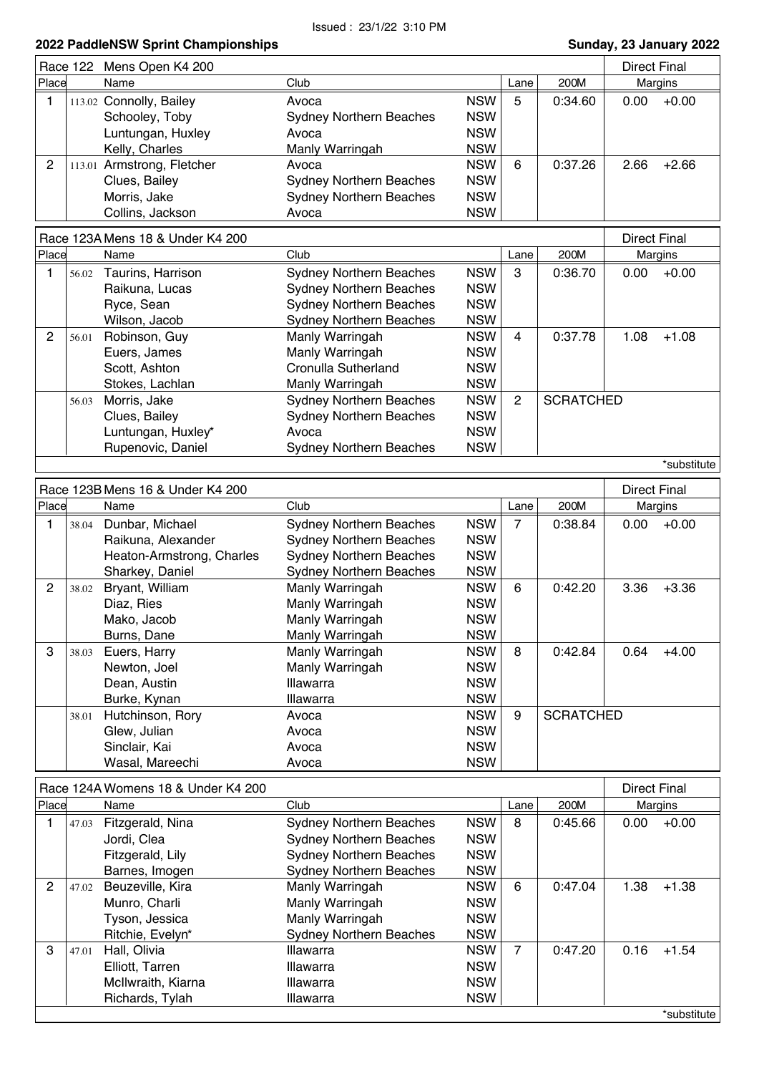|                                  |  | Race 122 Mens Open K4 200  |                                |            |              |              | Direct Final |         |
|----------------------------------|--|----------------------------|--------------------------------|------------|--------------|--------------|--------------|---------|
| Place                            |  | Name                       | Club                           |            | 200M<br>Lane |              | Margins      |         |
|                                  |  | 113.02 Connolly, Bailey    | Avoca                          | <b>NSW</b> | 5            | 0:34.60      | 0.00         | $+0.00$ |
|                                  |  | Schooley, Toby             | <b>Sydney Northern Beaches</b> | <b>NSW</b> |              |              |              |         |
|                                  |  | Luntungan, Huxley          | Avoca                          | <b>NSW</b> |              |              |              |         |
|                                  |  | Kelly, Charles             | Manly Warringah                | <b>NSW</b> |              |              |              |         |
| 2                                |  | 113.01 Armstrong, Fletcher | Avoca                          | <b>NSW</b> | 6            | 0:37.26      | 2.66         | $+2.66$ |
|                                  |  | Clues, Bailey              | <b>Sydney Northern Beaches</b> | <b>NSW</b> |              |              |              |         |
|                                  |  | Morris, Jake               | <b>Sydney Northern Beaches</b> | <b>NSW</b> |              |              |              |         |
|                                  |  | Collins, Jackson           | Avoca                          | <b>NSW</b> |              |              |              |         |
| Race 123A Mens 18 & Under K4 200 |  |                            |                                |            |              | Direct Final |              |         |

|       |       | <u>RUCC TEUTINICIIO TU U UNUCI INTECU</u> |                                |            |      |                  | ווטווו ו ויש |             |
|-------|-------|-------------------------------------------|--------------------------------|------------|------|------------------|--------------|-------------|
| Place |       | Name                                      | Club                           |            | Lane | 200M             |              | Margins     |
|       | 56.02 | Taurins, Harrison                         | <b>Sydney Northern Beaches</b> | <b>NSW</b> | 3    | 0:36.70          | 0.00         | $+0.00$     |
|       |       | Raikuna, Lucas                            | <b>Sydney Northern Beaches</b> | <b>NSW</b> |      |                  |              |             |
|       |       | Ryce, Sean                                | <b>Sydney Northern Beaches</b> | <b>NSW</b> |      |                  |              |             |
|       |       | Wilson, Jacob                             | <b>Sydney Northern Beaches</b> | <b>NSW</b> |      |                  |              |             |
| 2     | 56.01 | Robinson, Guy                             | Manly Warringah                | <b>NSW</b> | 4    | 0:37.78          | 1.08         | $+1.08$     |
|       |       | Euers, James                              | Manly Warringah                | <b>NSW</b> |      |                  |              |             |
|       |       | Scott, Ashton                             | Cronulla Sutherland            | <b>NSW</b> |      |                  |              |             |
|       |       | Stokes, Lachlan                           | Manly Warringah                | <b>NSW</b> |      |                  |              |             |
|       | 56.03 | Morris, Jake                              | <b>Sydney Northern Beaches</b> | <b>NSW</b> | 2    | <b>SCRATCHED</b> |              |             |
|       |       | Clues, Bailey                             | <b>Sydney Northern Beaches</b> | <b>NSW</b> |      |                  |              |             |
|       |       | Luntungan, Huxley*                        | Avoca                          | <b>NSW</b> |      |                  |              |             |
|       |       | Rupenovic, Daniel                         | <b>Sydney Northern Beaches</b> | <b>NSW</b> |      |                  |              |             |
|       |       |                                           |                                |            |      |                  |              | *substitute |

| Race 123B Mens 16 & Under K4 200 |       |                           |                                |            |      | <b>Direct Final</b> |      |         |
|----------------------------------|-------|---------------------------|--------------------------------|------------|------|---------------------|------|---------|
| Place                            |       | Name                      | Club                           |            | Lane | 200M                |      | Margins |
|                                  | 38.04 | Dunbar, Michael           | <b>Sydney Northern Beaches</b> | <b>NSW</b> | 7    | 0:38.84             | 0.00 | $+0.00$ |
|                                  |       | Raikuna, Alexander        | <b>Sydney Northern Beaches</b> | <b>NSW</b> |      |                     |      |         |
|                                  |       | Heaton-Armstrong, Charles | <b>Sydney Northern Beaches</b> | <b>NSW</b> |      |                     |      |         |
|                                  |       | Sharkey, Daniel           | <b>Sydney Northern Beaches</b> | <b>NSW</b> |      |                     |      |         |
| $\overline{2}$                   | 38.02 | Bryant, William           | Manly Warringah                | <b>NSW</b> | 6    | 0:42.20             | 3.36 | $+3.36$ |
|                                  |       | Diaz, Ries                | Manly Warringah                | <b>NSW</b> |      |                     |      |         |
|                                  |       | Mako, Jacob               | Manly Warringah                | <b>NSW</b> |      |                     |      |         |
|                                  |       | Burns, Dane               | Manly Warringah                | <b>NSW</b> |      |                     |      |         |
| 3                                | 38.03 | Euers, Harry              | Manly Warringah                | <b>NSW</b> | 8    | 0:42.84             | 0.64 | $+4.00$ |
|                                  |       | Newton, Joel              | Manly Warringah                | <b>NSW</b> |      |                     |      |         |
|                                  |       | Dean, Austin              | <b>Illawarra</b>               | <b>NSW</b> |      |                     |      |         |
|                                  |       | Burke, Kynan              | Illawarra                      | <b>NSW</b> |      |                     |      |         |
|                                  | 38.01 | Hutchinson, Rory          | Avoca                          | <b>NSW</b> | 9    | <b>SCRATCHED</b>    |      |         |
|                                  |       | Glew, Julian              | Avoca                          | <b>NSW</b> |      |                     |      |         |
|                                  |       | Sinclair, Kai             | Avoca                          | <b>NSW</b> |      |                     |      |         |
|                                  |       | Wasal, Mareechi           | Avoca                          | <b>NSW</b> |      |                     |      |         |

|       |       | Race 124A Womens 18 & Under K4 200 |                                |            |      |         | <b>Direct Final</b> |             |
|-------|-------|------------------------------------|--------------------------------|------------|------|---------|---------------------|-------------|
| Place |       | Name                               | Club                           |            | Lane | 200M    |                     | Margins     |
|       | 47.03 | Fitzgerald, Nina                   | <b>Sydney Northern Beaches</b> | <b>NSW</b> | 8    | 0:45.66 | 0.00                | $+0.00$     |
|       |       | Jordi, Clea                        | <b>Sydney Northern Beaches</b> | <b>NSW</b> |      |         |                     |             |
|       |       | Fitzgerald, Lily                   | <b>Sydney Northern Beaches</b> | <b>NSW</b> |      |         |                     |             |
|       |       | Barnes, Imogen                     | <b>Sydney Northern Beaches</b> | <b>NSW</b> |      |         |                     |             |
| 2     | 47.02 | Beuzeville, Kira                   | Manly Warringah                | <b>NSW</b> | 6    | 0:47.04 | 1.38                | $+1.38$     |
|       |       | Munro, Charli                      | Manly Warringah                | <b>NSW</b> |      |         |                     |             |
|       |       | Tyson, Jessica                     | Manly Warringah                | <b>NSW</b> |      |         |                     |             |
|       |       | Ritchie, Evelyn*                   | <b>Sydney Northern Beaches</b> | <b>NSW</b> |      |         |                     |             |
| 3     | 47.01 | Hall, Olivia                       | Illawarra                      | <b>NSW</b> | 7    | 0:47.20 | 0.16                | $+1.54$     |
|       |       | Elliott, Tarren                    | Illawarra                      | <b>NSW</b> |      |         |                     |             |
|       |       | McIlwraith, Kiarna                 | <b>Illawarra</b>               | <b>NSW</b> |      |         |                     |             |
|       |       | Richards, Tylah                    | Illawarra                      | <b>NSW</b> |      |         |                     |             |
|       |       |                                    |                                |            |      |         |                     | *substitute |